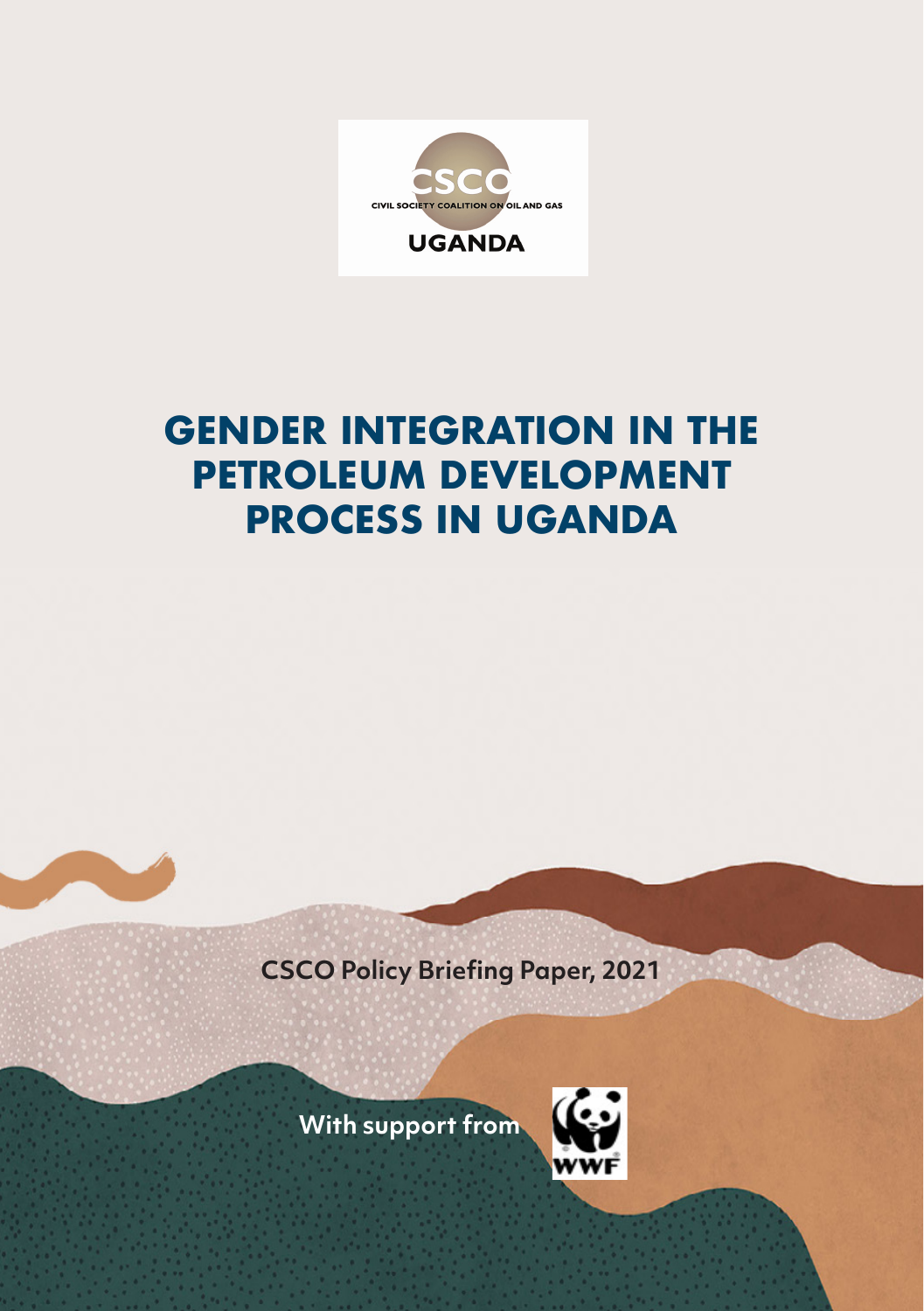

# **GENDER INTEGRATION IN THE PETROLEUM DEVELOPMENT PROCESS IN UGANDA**

**CSCO Policy Briefing Paper, 2021**

**With support from**

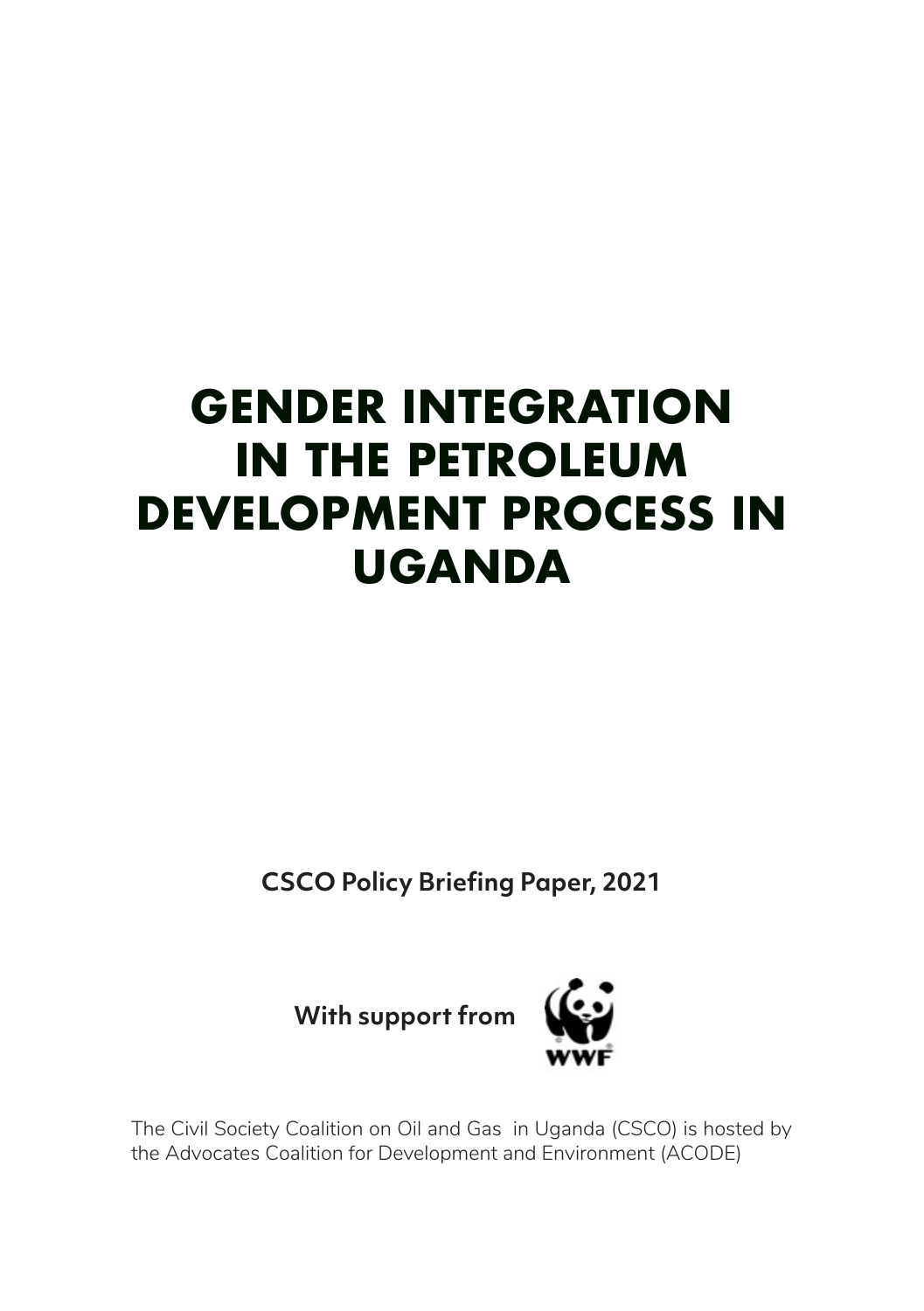# **GENDER INTEGRATION IN THE PETROLEUM DEVELOPMENT PROCESS IN UGANDA**

**CSCO Policy Briefing Paper, 2021**

**With support from**



The Civil Society Coalition on Oil and Gas in Uganda (CSCO) is hosted by the Advocates Coalition for Development and Environment (ACODE)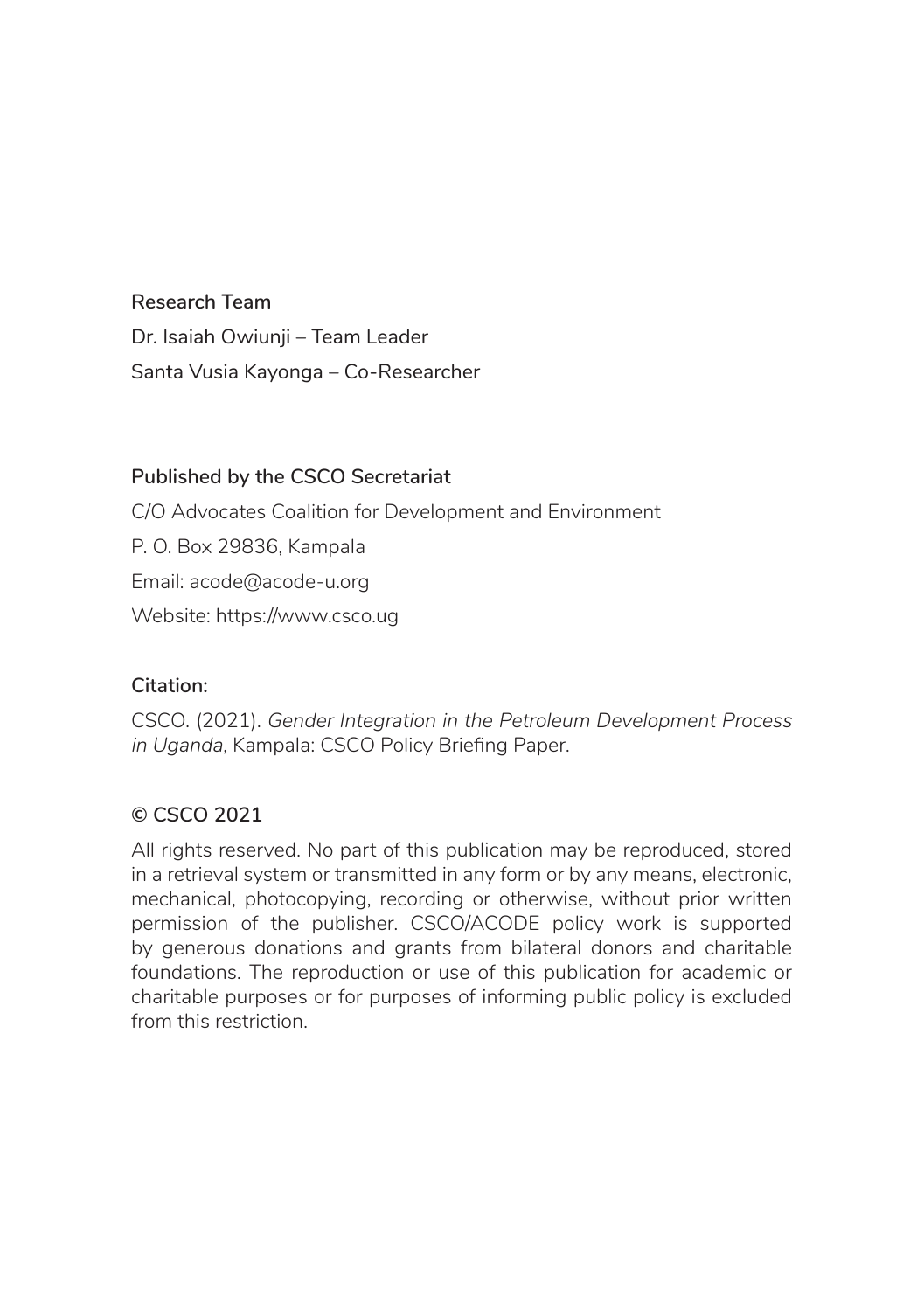#### **Research Team**

Dr. Isaiah Owiunii – Team Leader Santa Vusia Kayonga – Co-Researcher

#### **Published by the CSCO Secretariat**

C/O Advocates Coalition for Development and Environment P. O. Box 29836, Kampala Email: acode@acode-u.org Website: https://www.csco.ug

#### **Citation:**

CSCO. (2021). *Gender Integration in the Petroleum Development Process in Uganda*, Kampala: CSCO Policy Briefing Paper.

#### **© CSCO 2021**

All rights reserved. No part of this publication may be reproduced, stored in a retrieval system or transmitted in any form or by any means, electronic, mechanical, photocopying, recording or otherwise, without prior written permission of the publisher. CSCO/ACODE policy work is supported by generous donations and grants from bilateral donors and charitable foundations. The reproduction or use of this publication for academic or charitable purposes or for purposes of informing public policy is excluded from this restriction.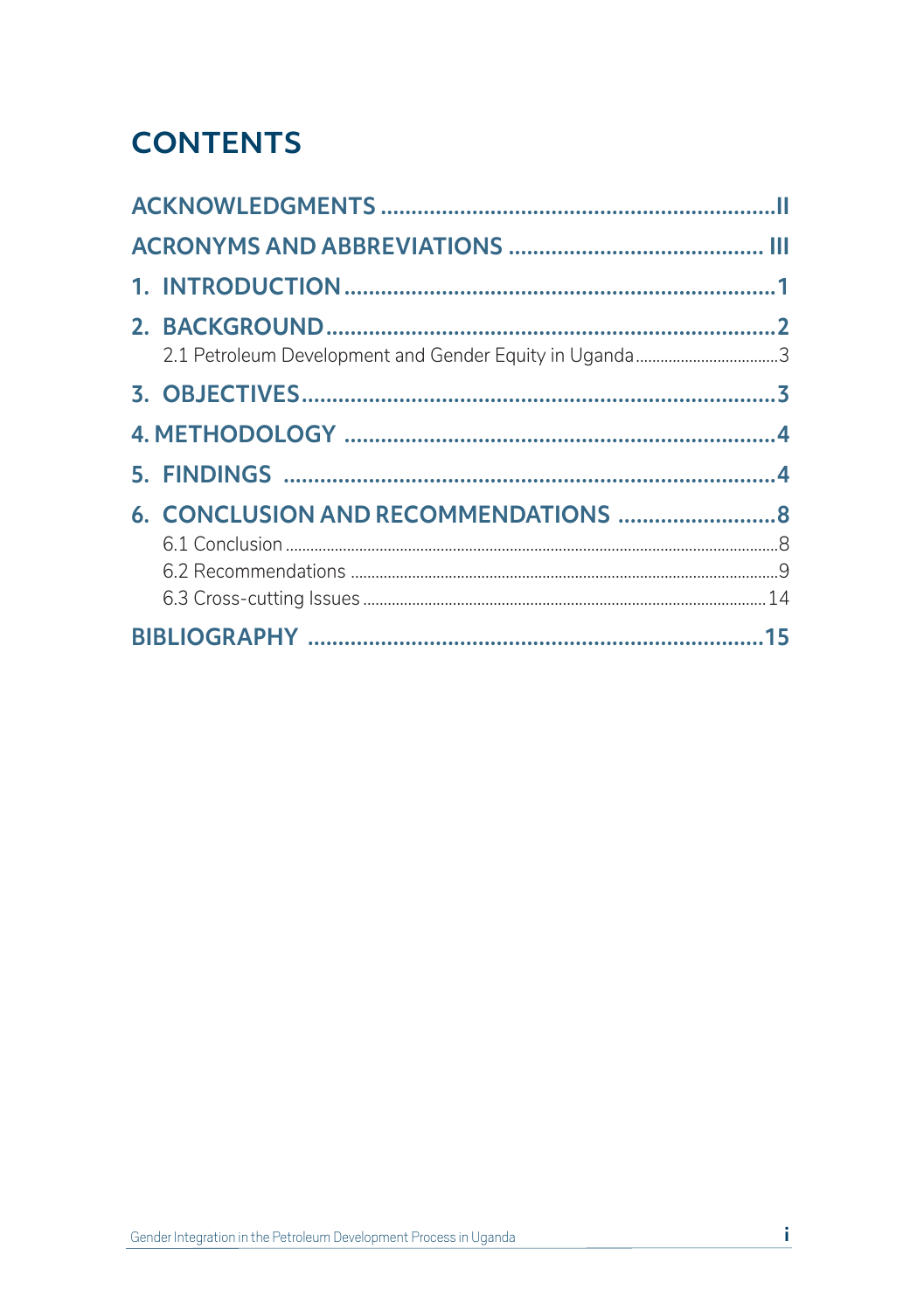# **CONTENTS**

|  | 2.1 Petroleum Development and Gender Equity in Uganda3 |  |  |
|--|--------------------------------------------------------|--|--|
|  |                                                        |  |  |
|  |                                                        |  |  |
|  |                                                        |  |  |
|  |                                                        |  |  |
|  |                                                        |  |  |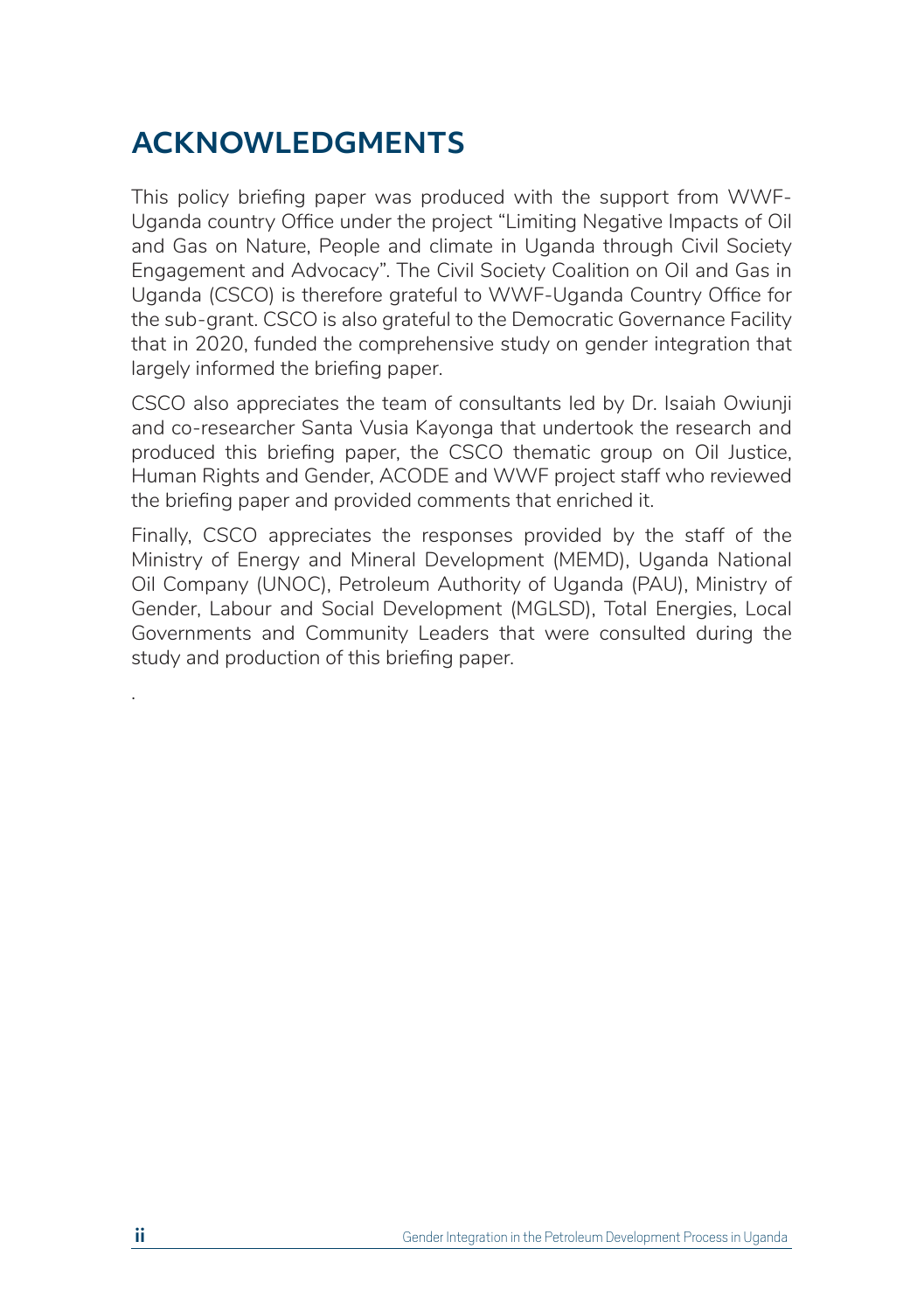# **ACKNOWLEDGMENTS**

This policy briefing paper was produced with the support from WWF-Uganda country Office under the project "Limiting Negative Impacts of Oil and Gas on Nature, People and climate in Uganda through Civil Society Engagement and Advocacy". The Civil Society Coalition on Oil and Gas in Uganda (CSCO) is therefore grateful to WWF-Uganda Country Office for the sub-grant. CSCO is also grateful to the Democratic Governance Facility that in 2020, funded the comprehensive study on gender integration that largely informed the briefing paper.

CSCO also appreciates the team of consultants led by Dr. Isaiah Owiunji and co-researcher Santa Vusia Kayonga that undertook the research and produced this briefing paper, the CSCO thematic group on Oil Justice, Human Rights and Gender, ACODE and WWF project staff who reviewed the briefing paper and provided comments that enriched it.

Finally, CSCO appreciates the responses provided by the staff of the Ministry of Energy and Mineral Development (MEMD), Uganda National Oil Company (UNOC), Petroleum Authority of Uganda (PAU), Ministry of Gender, Labour and Social Development (MGLSD), Total Energies, Local Governments and Community Leaders that were consulted during the study and production of this briefing paper.

.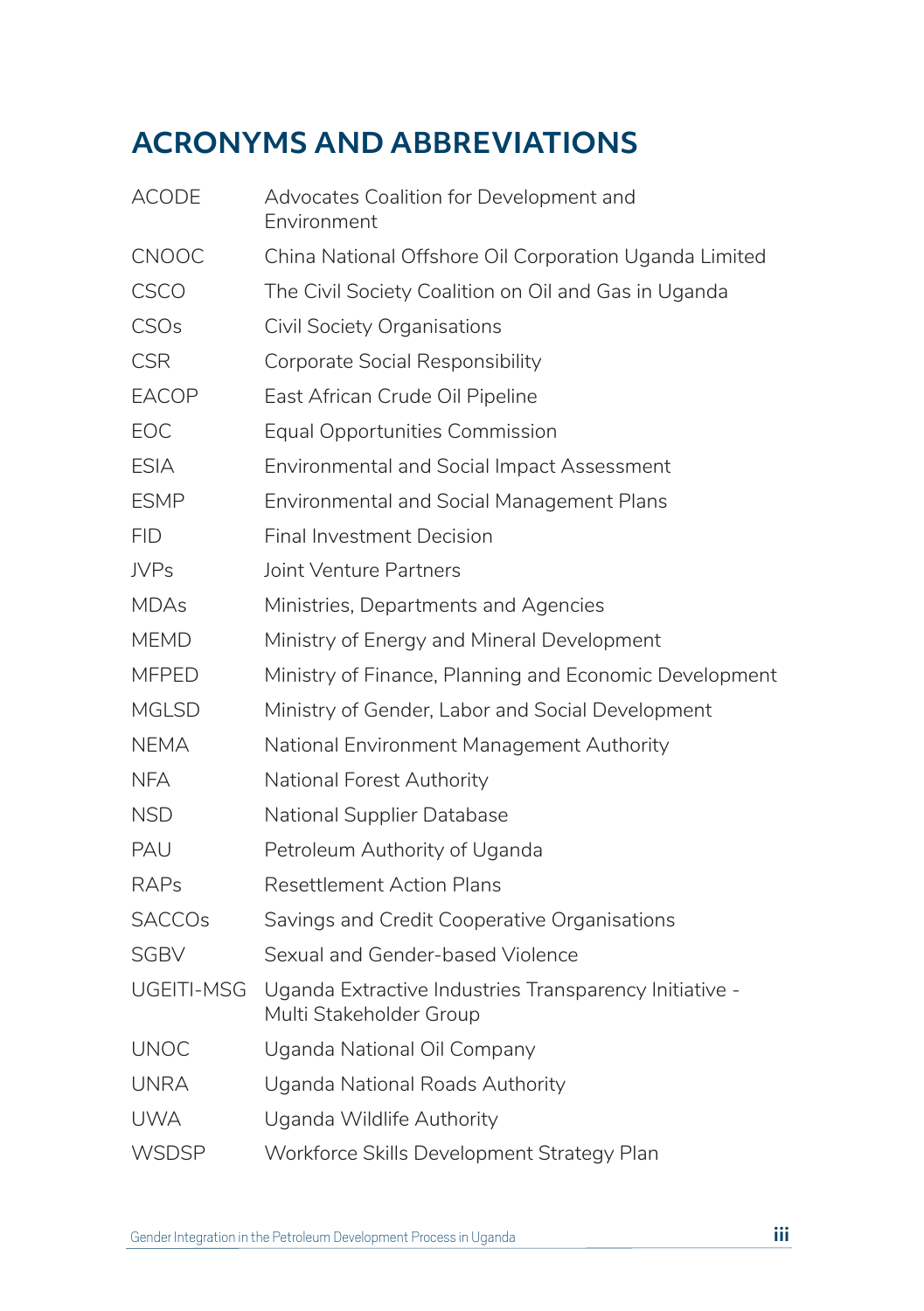# **ACRONYMS AND ABBREVIATIONS**

| <b>ACODE</b>  | Advocates Coalition for Development and<br>Environment                            |
|---------------|-----------------------------------------------------------------------------------|
| <b>CNOOC</b>  | China National Offshore Oil Corporation Uganda Limited                            |
| <b>CSCO</b>   | The Civil Society Coalition on Oil and Gas in Uganda                              |
| <b>CSOs</b>   | Civil Society Organisations                                                       |
| <b>CSR</b>    | Corporate Social Responsibility                                                   |
| <b>EACOP</b>  | East African Crude Oil Pipeline                                                   |
| EOC           | <b>Equal Opportunities Commission</b>                                             |
| <b>ESIA</b>   | <b>Environmental and Social Impact Assessment</b>                                 |
| <b>ESMP</b>   | <b>Environmental and Social Management Plans</b>                                  |
| <b>FID</b>    | <b>Final Investment Decision</b>                                                  |
| <b>JVPs</b>   | Joint Venture Partners                                                            |
| <b>MDAs</b>   | Ministries, Departments and Agencies                                              |
| <b>MEMD</b>   | Ministry of Energy and Mineral Development                                        |
| <b>MFPED</b>  | Ministry of Finance, Planning and Economic Development                            |
| <b>MGLSD</b>  | Ministry of Gender, Labor and Social Development                                  |
| <b>NEMA</b>   | National Environment Management Authority                                         |
| <b>NFA</b>    | National Forest Authority                                                         |
| <b>NSD</b>    | <b>National Supplier Database</b>                                                 |
| PAU           | Petroleum Authority of Uganda                                                     |
| <b>RAPs</b>   | <b>Resettlement Action Plans</b>                                                  |
| <b>SACCOs</b> | Savings and Credit Cooperative Organisations                                      |
| <b>SGBV</b>   | Sexual and Gender-based Violence                                                  |
| UGEITI-MSG    | Uganda Extractive Industries Transparency Initiative -<br>Multi Stakeholder Group |
| <b>UNOC</b>   | Uganda National Oil Company                                                       |
| <b>UNRA</b>   | Uganda National Roads Authority                                                   |
| <b>UWA</b>    | Uganda Wildlife Authority                                                         |
| <b>WSDSP</b>  | Workforce Skills Development Strategy Plan                                        |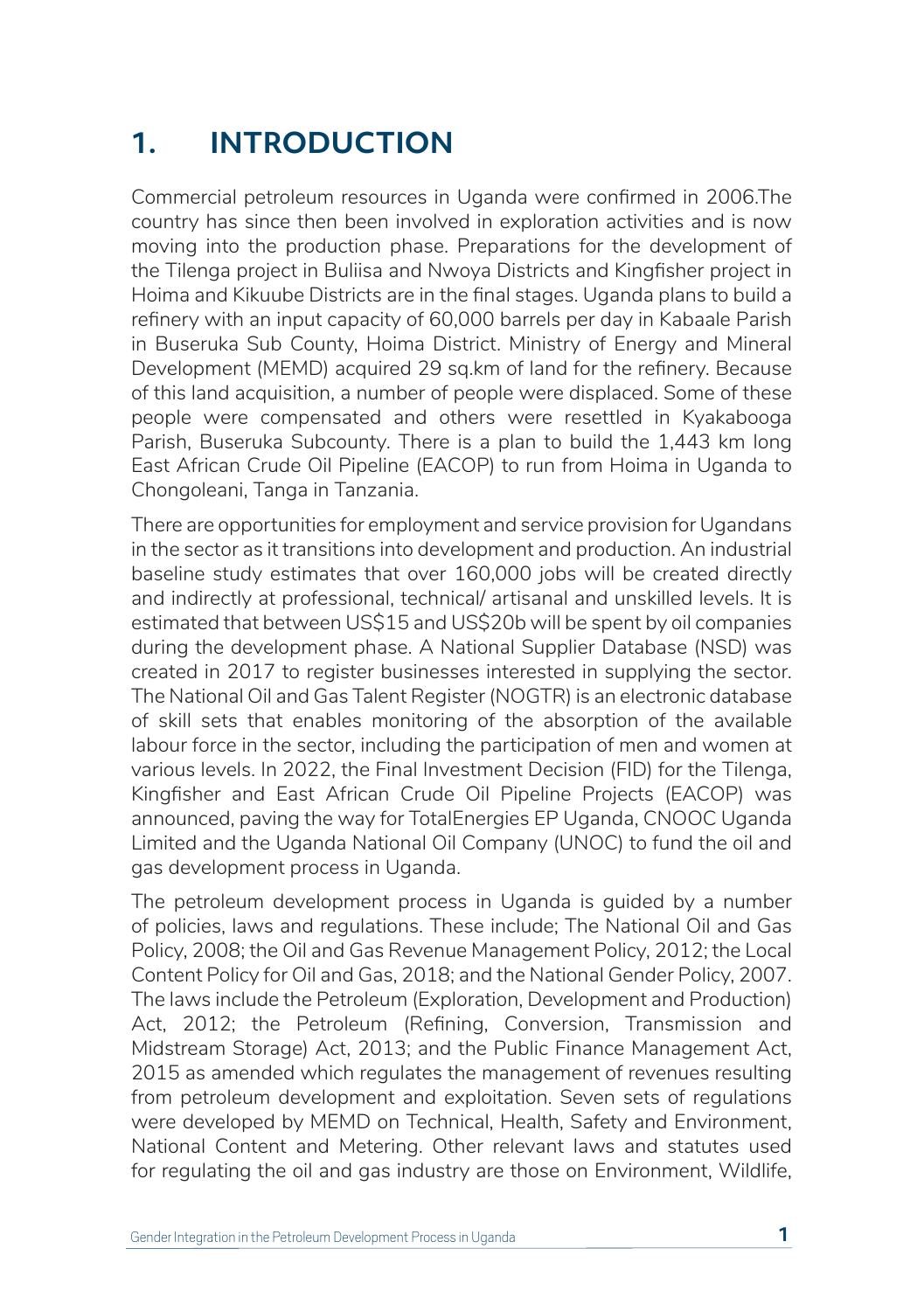# **1. INTRODUCTION**

Commercial petroleum resources in Uganda were confirmed in 2006.The country has since then been involved in exploration activities and is now moving into the production phase. Preparations for the development of the Tilenga project in Buliisa and Nwoya Districts and Kingfisher project in Hoima and Kikuube Districts are in the final stages. Uganda plans to build a refinery with an input capacity of 60,000 barrels per day in Kabaale Parish in Buseruka Sub County, Hoima District. Ministry of Energy and Mineral Development (MEMD) acquired 29 sq.km of land for the refinery. Because of this land acquisition, a number of people were displaced. Some of these people were compensated and others were resettled in Kyakabooga Parish, Buseruka Subcounty. There is a plan to build the 1,443 km long East African Crude Oil Pipeline (EACOP) to run from Hoima in Uganda to Chongoleani, Tanga in Tanzania.

There are opportunities for employment and service provision for Ugandans in the sector as it transitions into development and production. An industrial baseline study estimates that over 160,000 jobs will be created directly and indirectly at professional, technical/ artisanal and unskilled levels. It is estimated that between US\$15 and US\$20b will be spent by oil companies during the development phase. A National Supplier Database (NSD) was created in 2017 to register businesses interested in supplying the sector. The National Oil and Gas Talent Register (NOGTR) is an electronic database of skill sets that enables monitoring of the absorption of the available labour force in the sector, including the participation of men and women at various levels. In 2022, the Final Investment Decision (FID) for the Tilenga, Kingfisher and East African Crude Oil Pipeline Projects (EACOP) was announced, paving the way for TotalEnergies EP Uganda, CNOOC Uganda Limited and the Uganda National Oil Company (UNOC) to fund the oil and gas development process in Uganda.

The petroleum development process in Uganda is guided by a number of policies, laws and regulations. These include; The National Oil and Gas Policy, 2008; the Oil and Gas Revenue Management Policy, 2012; the Local Content Policy for Oil and Gas, 2018; and the National Gender Policy, 2007. The laws include the Petroleum (Exploration, Development and Production) Act, 2012; the Petroleum (Refining, Conversion, Transmission and Midstream Storage) Act, 2013; and the Public Finance Management Act, 2015 as amended which regulates the management of revenues resulting from petroleum development and exploitation. Seven sets of regulations were developed by MEMD on Technical, Health, Safety and Environment, National Content and Metering. Other relevant laws and statutes used for regulating the oil and gas industry are those on Environment, Wildlife,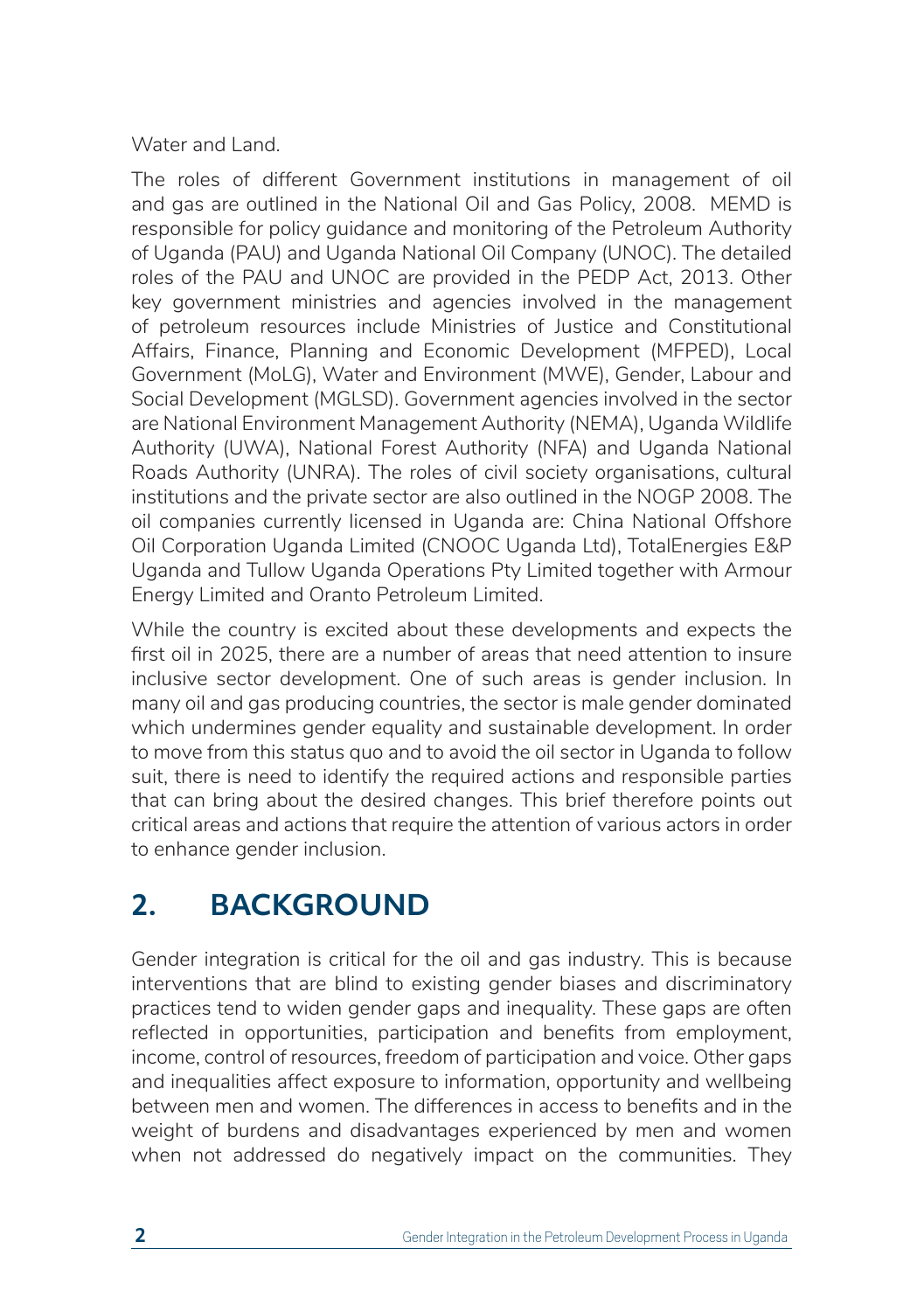#### Water and Land.

The roles of different Government institutions in management of oil and gas are outlined in the National Oil and Gas Policy, 2008. MEMD is responsible for policy guidance and monitoring of the Petroleum Authority of Uganda (PAU) and Uganda National Oil Company (UNOC). The detailed roles of the PAU and UNOC are provided in the PEDP Act, 2013. Other key government ministries and agencies involved in the management of petroleum resources include Ministries of Justice and Constitutional Affairs, Finance, Planning and Economic Development (MFPED), Local Government (MoLG), Water and Environment (MWE), Gender, Labour and Social Development (MGLSD). Government agencies involved in the sector are National Environment Management Authority (NEMA), Uganda Wildlife Authority (UWA), National Forest Authority (NFA) and Uganda National Roads Authority (UNRA). The roles of civil society organisations, cultural institutions and the private sector are also outlined in the NOGP 2008. The oil companies currently licensed in Uganda are: China National Offshore Oil Corporation Uganda Limited (CNOOC Uganda Ltd), TotalEnergies E&P Uganda and Tullow Uganda Operations Pty Limited together with Armour Energy Limited and Oranto Petroleum Limited.

While the country is excited about these developments and expects the first oil in 2025, there are a number of areas that need attention to insure inclusive sector development. One of such areas is gender inclusion. In many oil and gas producing countries, the sector is male gender dominated which undermines gender equality and sustainable development. In order to move from this status quo and to avoid the oil sector in Uganda to follow suit, there is need to identify the required actions and responsible parties that can bring about the desired changes. This brief therefore points out critical areas and actions that require the attention of various actors in order to enhance gender inclusion.

# **2. BACKGROUND**

Gender integration is critical for the oil and gas industry. This is because interventions that are blind to existing gender biases and discriminatory practices tend to widen gender gaps and inequality. These gaps are often reflected in opportunities, participation and benefits from employment, income, control of resources, freedom of participation and voice. Other gaps and inequalities affect exposure to information, opportunity and wellbeing between men and women. The differences in access to benefits and in the weight of burdens and disadvantages experienced by men and women when not addressed do negatively impact on the communities. They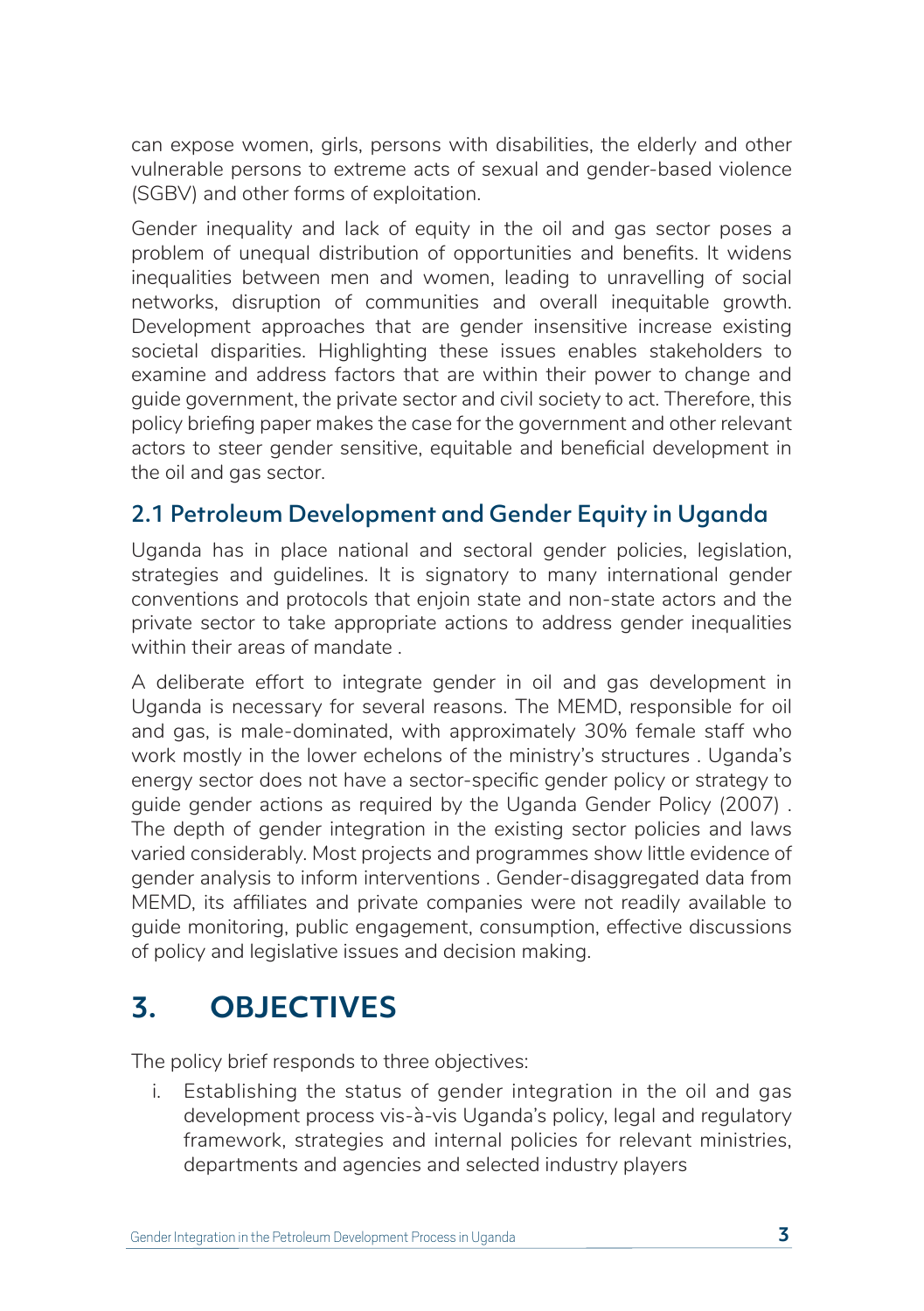can expose women, girls, persons with disabilities, the elderly and other vulnerable persons to extreme acts of sexual and gender-based violence (SGBV) and other forms of exploitation.

Gender inequality and lack of equity in the oil and gas sector poses a problem of unequal distribution of opportunities and benefits. It widens inequalities between men and women, leading to unravelling of social networks, disruption of communities and overall inequitable growth. Development approaches that are gender insensitive increase existing societal disparities. Highlighting these issues enables stakeholders to examine and address factors that are within their power to change and guide government, the private sector and civil society to act. Therefore, this policy briefing paper makes the case for the government and other relevant actors to steer gender sensitive, equitable and beneficial development in the oil and gas sector.

### 2.1 Petroleum Development and Gender Equity in Uganda

Uganda has in place national and sectoral gender policies, legislation, strategies and guidelines. It is signatory to many international gender conventions and protocols that enjoin state and non-state actors and the private sector to take appropriate actions to address gender inequalities within their areas of mandate .

A deliberate effort to integrate gender in oil and gas development in Uganda is necessary for several reasons. The MEMD, responsible for oil and gas, is male-dominated, with approximately 30% female staff who work mostly in the lower echelons of the ministry's structures . Uganda's energy sector does not have a sector-specific gender policy or strategy to guide gender actions as required by the Uganda Gender Policy (2007) . The depth of gender integration in the existing sector policies and laws varied considerably. Most projects and programmes show little evidence of gender analysis to inform interventions . Gender-disaggregated data from MEMD, its affiliates and private companies were not readily available to guide monitoring, public engagement, consumption, effective discussions of policy and legislative issues and decision making.

# **3. OBJECTIVES**

The policy brief responds to three objectives:

i. Establishing the status of gender integration in the oil and gas development process vis-à-vis Uganda's policy, legal and regulatory framework, strategies and internal policies for relevant ministries, departments and agencies and selected industry players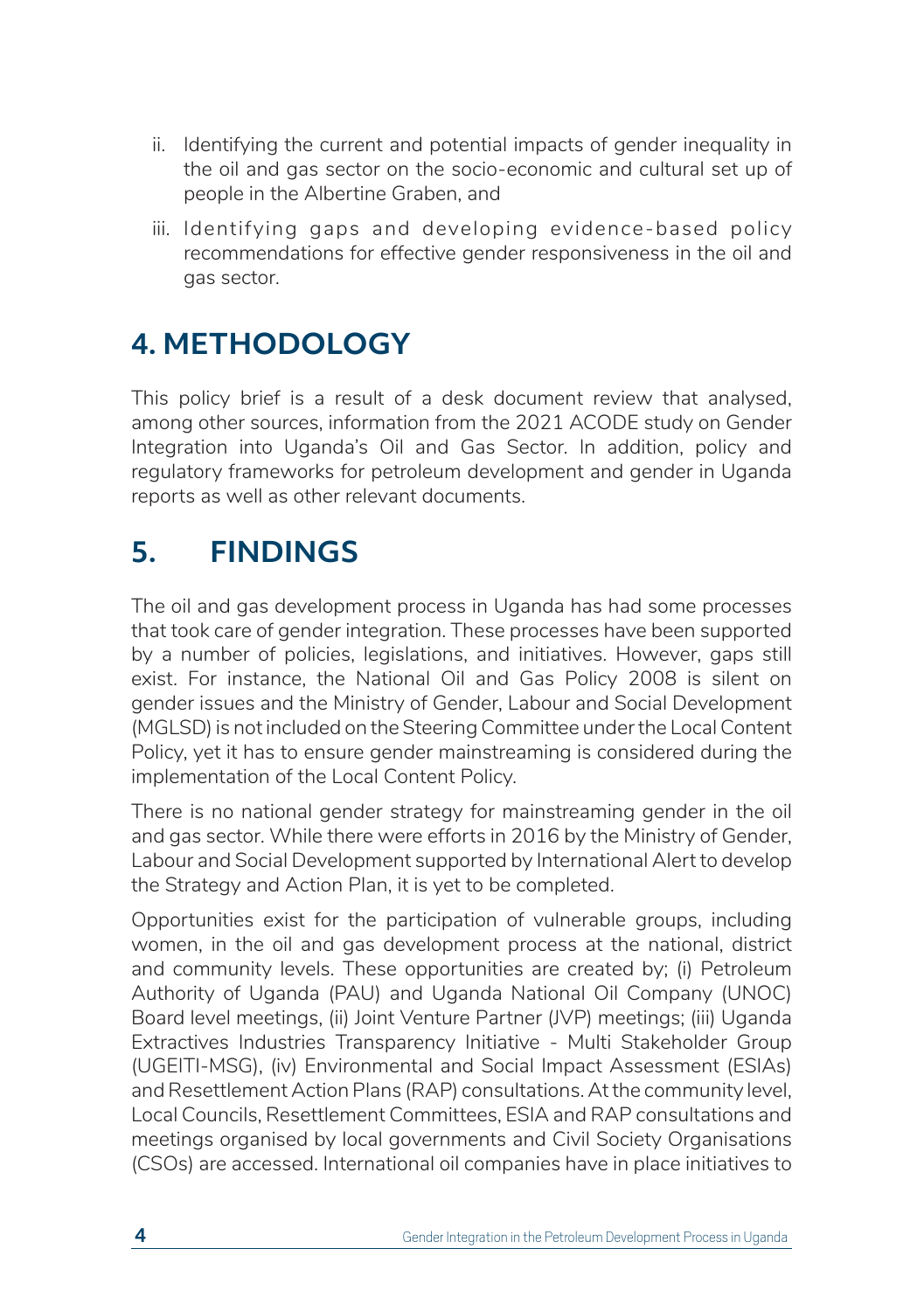- ii. Identifying the current and potential impacts of gender inequality in the oil and gas sector on the socio-economic and cultural set up of people in the Albertine Graben, and
- iii. Identifying gaps and developing evidence-based policy recommendations for effective gender responsiveness in the oil and gas sector.

# **4. METHODOLOGY**

This policy brief is a result of a desk document review that analysed, among other sources, information from the 2021 ACODE study on Gender Integration into Uganda's Oil and Gas Sector. In addition, policy and regulatory frameworks for petroleum development and gender in Uganda reports as well as other relevant documents.

# **5. FINDINGS**

The oil and gas development process in Uganda has had some processes that took care of gender integration. These processes have been supported by a number of policies, legislations, and initiatives. However, gaps still exist. For instance, the National Oil and Gas Policy 2008 is silent on gender issues and the Ministry of Gender, Labour and Social Development (MGLSD) is not included on the Steering Committee under the Local Content Policy, yet it has to ensure gender mainstreaming is considered during the implementation of the Local Content Policy.

There is no national gender strategy for mainstreaming gender in the oil and gas sector. While there were efforts in 2016 by the Ministry of Gender, Labour and Social Development supported by International Alert to develop the Strategy and Action Plan, it is yet to be completed.

Opportunities exist for the participation of vulnerable groups, including women, in the oil and gas development process at the national, district and community levels. These opportunities are created by; (i) Petroleum Authority of Uganda (PAU) and Uganda National Oil Company (UNOC) Board level meetings, (ii) Joint Venture Partner (JVP) meetings; (iii) Uganda Extractives Industries Transparency Initiative - Multi Stakeholder Group (UGEITI-MSG), (iv) Environmental and Social Impact Assessment (ESIAs) and Resettlement Action Plans (RAP) consultations. At the community level, Local Councils, Resettlement Committees, ESIA and RAP consultations and meetings organised by local governments and Civil Society Organisations (CSOs) are accessed. International oil companies have in place initiatives to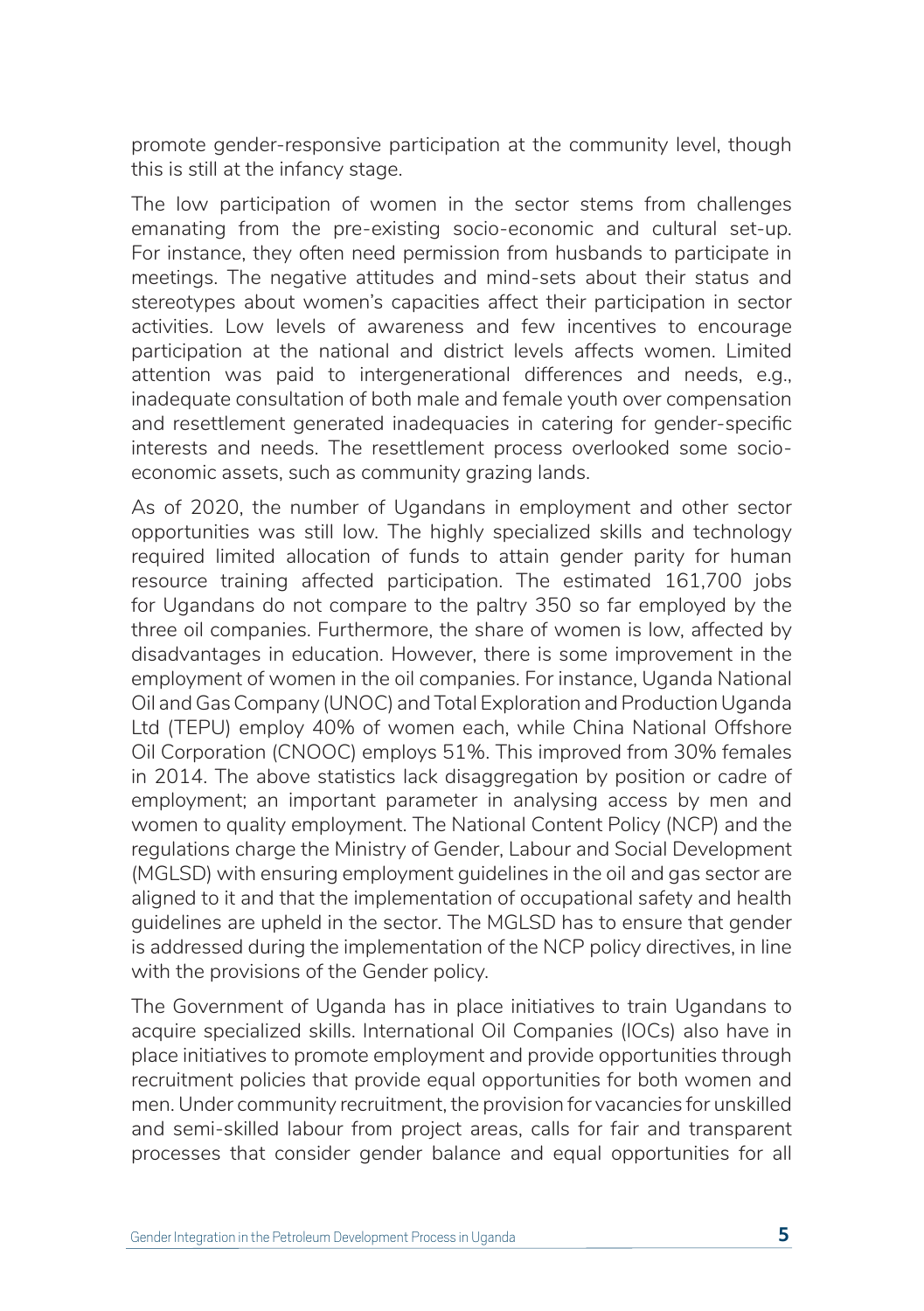promote gender-responsive participation at the community level, though this is still at the infancy stage.

The low participation of women in the sector stems from challenges emanating from the pre-existing socio-economic and cultural set-up. For instance, they often need permission from husbands to participate in meetings. The negative attitudes and mind-sets about their status and stereotypes about women's capacities affect their participation in sector activities. Low levels of awareness and few incentives to encourage participation at the national and district levels affects women. Limited attention was paid to intergenerational differences and needs, e.g., inadequate consultation of both male and female youth over compensation and resettlement generated inadequacies in catering for gender-specific interests and needs. The resettlement process overlooked some socioeconomic assets, such as community grazing lands.

As of 2020, the number of Ugandans in employment and other sector opportunities was still low. The highly specialized skills and technology required limited allocation of funds to attain gender parity for human resource training affected participation. The estimated 161,700 jobs for Ugandans do not compare to the paltry 350 so far employed by the three oil companies. Furthermore, the share of women is low, affected by disadvantages in education. However, there is some improvement in the employment of women in the oil companies. For instance, Uganda National Oil and Gas Company (UNOC) and Total Exploration and Production Uganda Ltd (TEPU) employ 40% of women each, while China National Offshore Oil Corporation (CNOOC) employs 51%. This improved from 30% females in 2014. The above statistics lack disaggregation by position or cadre of employment; an important parameter in analysing access by men and women to quality employment. The National Content Policy (NCP) and the regulations charge the Ministry of Gender, Labour and Social Development (MGLSD) with ensuring employment guidelines in the oil and gas sector are aligned to it and that the implementation of occupational safety and health guidelines are upheld in the sector. The MGLSD has to ensure that gender is addressed during the implementation of the NCP policy directives, in line with the provisions of the Gender policy.

The Government of Uganda has in place initiatives to train Ugandans to acquire specialized skills. International Oil Companies (IOCs) also have in place initiatives to promote employment and provide opportunities through recruitment policies that provide equal opportunities for both women and men. Under community recruitment, the provision for vacancies for unskilled and semi-skilled labour from project areas, calls for fair and transparent processes that consider gender balance and equal opportunities for all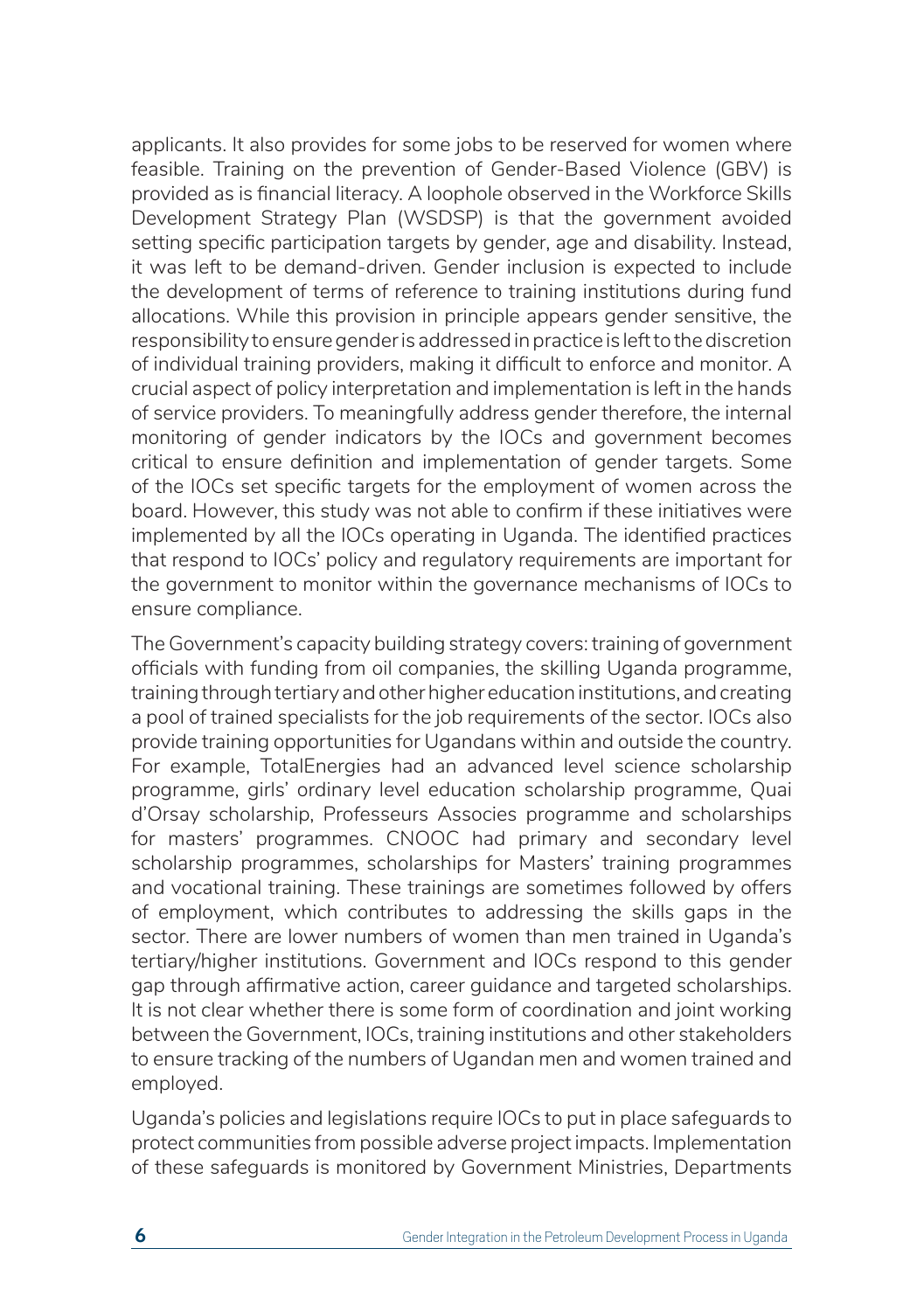applicants. It also provides for some jobs to be reserved for women where feasible. Training on the prevention of Gender-Based Violence (GBV) is provided as is financial literacy. A loophole observed in the Workforce Skills Development Strategy Plan (WSDSP) is that the government avoided setting specific participation targets by gender, age and disability. Instead, it was left to be demand-driven. Gender inclusion is expected to include the development of terms of reference to training institutions during fund allocations. While this provision in principle appears gender sensitive, the responsibility to ensure gender is addressed in practice is left to the discretion of individual training providers, making it difficult to enforce and monitor. A crucial aspect of policy interpretation and implementation is left in the hands of service providers. To meaningfully address gender therefore, the internal monitoring of gender indicators by the IOCs and government becomes critical to ensure definition and implementation of gender targets. Some of the IOCs set specific targets for the employment of women across the board. However, this study was not able to confirm if these initiatives were implemented by all the IOCs operating in Uganda. The identified practices that respond to IOCs' policy and regulatory requirements are important for the government to monitor within the governance mechanisms of IOCs to ensure compliance.

The Government's capacity building strategy covers: training of government officials with funding from oil companies, the skilling Uganda programme, training through tertiary and other higher education institutions, and creating a pool of trained specialists for the job requirements of the sector. IOCs also provide training opportunities for Ugandans within and outside the country. For example, TotalEnergies had an advanced level science scholarship programme, girls' ordinary level education scholarship programme, Quai d'Orsay scholarship, Professeurs Associes programme and scholarships for masters' programmes. CNOOC had primary and secondary level scholarship programmes, scholarships for Masters' training programmes and vocational training. These trainings are sometimes followed by offers of employment, which contributes to addressing the skills gaps in the sector. There are lower numbers of women than men trained in Uganda's tertiary/higher institutions. Government and IOCs respond to this gender gap through affirmative action, career guidance and targeted scholarships. It is not clear whether there is some form of coordination and joint working between the Government, IOCs, training institutions and other stakeholders to ensure tracking of the numbers of Ugandan men and women trained and employed.

Uganda's policies and legislations require IOCs to put in place safeguards to protect communities from possible adverse project impacts. Implementation of these safeguards is monitored by Government Ministries, Departments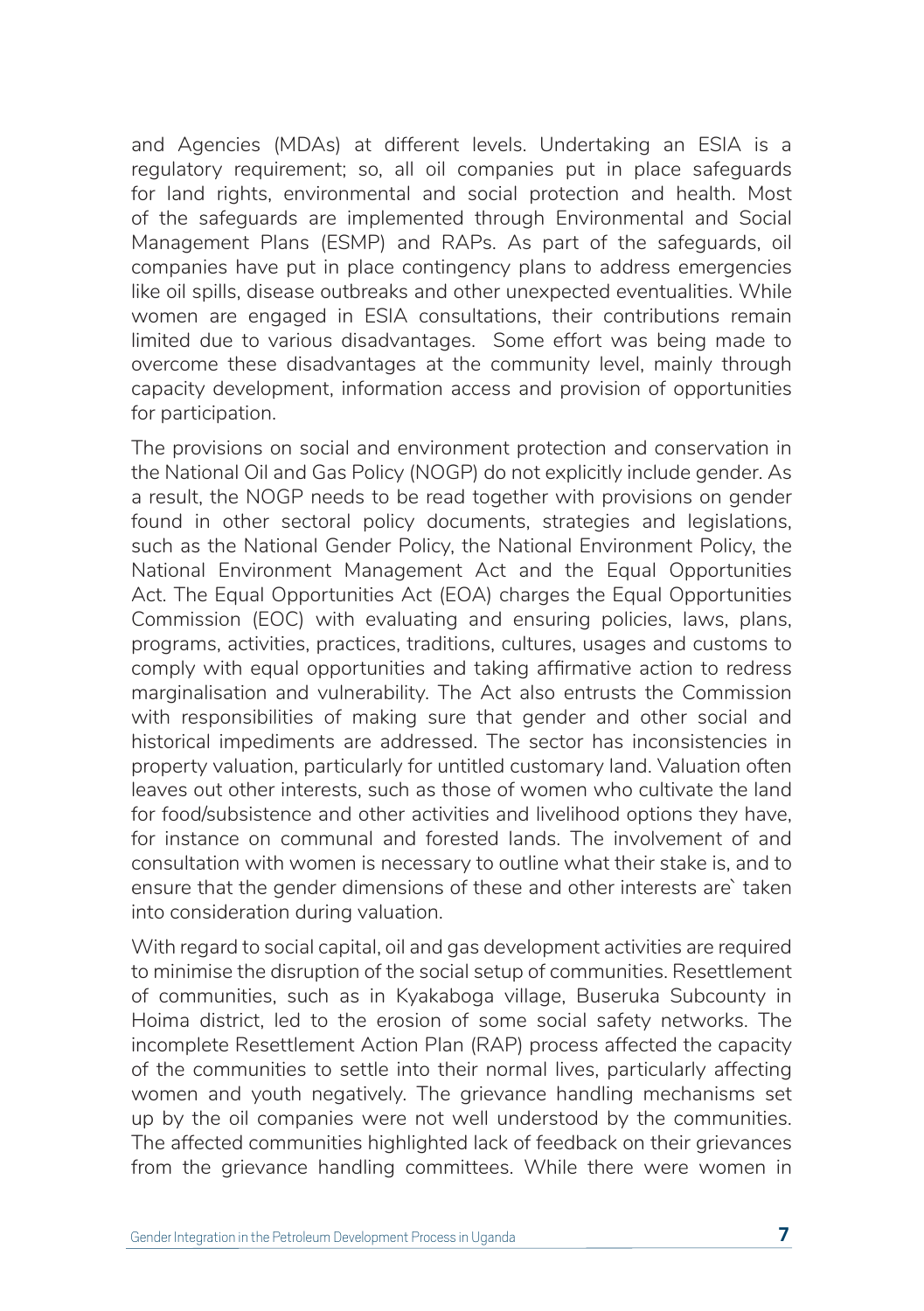and Agencies (MDAs) at different levels. Undertaking an ESIA is a regulatory requirement; so, all oil companies put in place safeguards for land rights, environmental and social protection and health. Most of the safeguards are implemented through Environmental and Social Management Plans (ESMP) and RAPs. As part of the safeguards, oil companies have put in place contingency plans to address emergencies like oil spills, disease outbreaks and other unexpected eventualities. While women are engaged in ESIA consultations, their contributions remain limited due to various disadvantages. Some effort was being made to overcome these disadvantages at the community level, mainly through capacity development, information access and provision of opportunities for participation.

The provisions on social and environment protection and conservation in the National Oil and Gas Policy (NOGP) do not explicitly include gender. As a result, the NOGP needs to be read together with provisions on gender found in other sectoral policy documents, strategies and legislations, such as the National Gender Policy, the National Environment Policy, the National Environment Management Act and the Equal Opportunities Act. The Equal Opportunities Act (EOA) charges the Equal Opportunities Commission (EOC) with evaluating and ensuring policies, laws, plans, programs, activities, practices, traditions, cultures, usages and customs to comply with equal opportunities and taking affirmative action to redress marginalisation and vulnerability. The Act also entrusts the Commission with responsibilities of making sure that gender and other social and historical impediments are addressed. The sector has inconsistencies in property valuation, particularly for untitled customary land. Valuation often leaves out other interests, such as those of women who cultivate the land for food/subsistence and other activities and livelihood options they have, for instance on communal and forested lands. The involvement of and consultation with women is necessary to outline what their stake is, and to ensure that the gender dimensions of these and other interests are` taken into consideration during valuation.

With regard to social capital, oil and gas development activities are required to minimise the disruption of the social setup of communities. Resettlement of communities, such as in Kyakaboga village, Buseruka Subcounty in Hoima district, led to the erosion of some social safety networks. The incomplete Resettlement Action Plan (RAP) process affected the capacity of the communities to settle into their normal lives, particularly affecting women and youth negatively. The grievance handling mechanisms set up by the oil companies were not well understood by the communities. The affected communities highlighted lack of feedback on their grievances from the grievance handling committees. While there were women in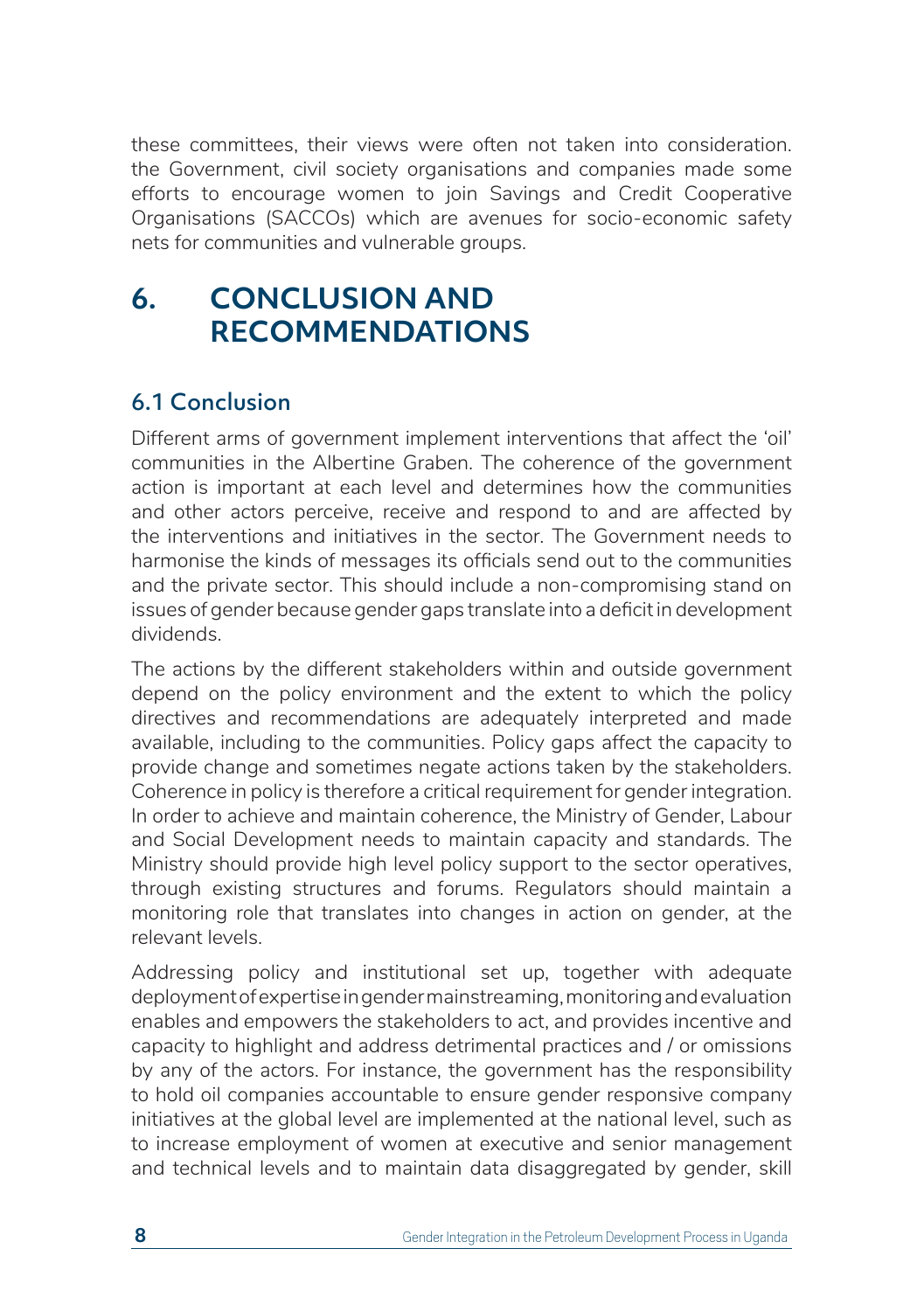these committees, their views were often not taken into consideration. the Government, civil society organisations and companies made some efforts to encourage women to join Savings and Credit Cooperative Organisations (SACCOs) which are avenues for socio-economic safety nets for communities and vulnerable groups.

# **6. CONCLUSION AND RECOMMENDATIONS**

### 6.1 Conclusion

Different arms of government implement interventions that affect the 'oil' communities in the Albertine Graben. The coherence of the government action is important at each level and determines how the communities and other actors perceive, receive and respond to and are affected by the interventions and initiatives in the sector. The Government needs to harmonise the kinds of messages its officials send out to the communities and the private sector. This should include a non-compromising stand on issues of gender because gender gaps translate into a deficit in development dividends.

The actions by the different stakeholders within and outside government depend on the policy environment and the extent to which the policy directives and recommendations are adequately interpreted and made available, including to the communities. Policy gaps affect the capacity to provide change and sometimes negate actions taken by the stakeholders. Coherence in policy is therefore a critical requirement for gender integration. In order to achieve and maintain coherence, the Ministry of Gender, Labour and Social Development needs to maintain capacity and standards. The Ministry should provide high level policy support to the sector operatives, through existing structures and forums. Regulators should maintain a monitoring role that translates into changes in action on gender, at the relevant levels.

Addressing policy and institutional set up, together with adequate deployment of expertise in gender mainstreaming, monitoring and evaluation enables and empowers the stakeholders to act, and provides incentive and capacity to highlight and address detrimental practices and / or omissions by any of the actors. For instance, the government has the responsibility to hold oil companies accountable to ensure gender responsive company initiatives at the global level are implemented at the national level, such as to increase employment of women at executive and senior management and technical levels and to maintain data disaggregated by gender, skill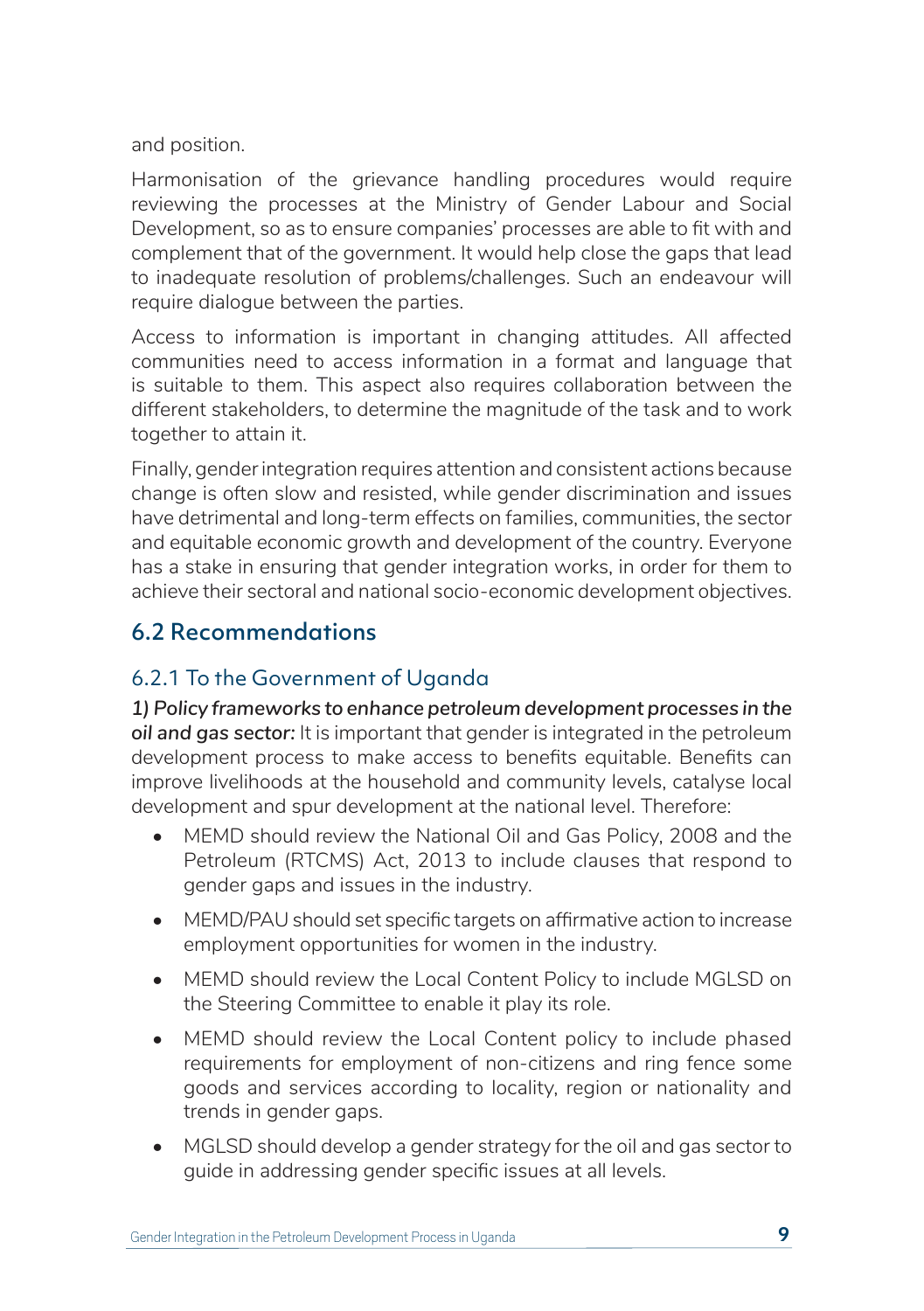and position.

Harmonisation of the grievance handling procedures would require reviewing the processes at the Ministry of Gender Labour and Social Development, so as to ensure companies' processes are able to fit with and complement that of the government. It would help close the gaps that lead to inadequate resolution of problems/challenges. Such an endeavour will require dialogue between the parties.

Access to information is important in changing attitudes. All affected communities need to access information in a format and language that is suitable to them. This aspect also requires collaboration between the different stakeholders, to determine the magnitude of the task and to work together to attain it.

Finally, gender integration requires attention and consistent actions because change is often slow and resisted, while gender discrimination and issues have detrimental and long-term effects on families, communities, the sector and equitable economic growth and development of the country. Everyone has a stake in ensuring that gender integration works, in order for them to achieve their sectoral and national socio-economic development objectives.

### 6.2 Recommendations

### 6.2.1 To the Government of Uganda

*1) Policy frameworks to enhance petroleum development processes in the oil and gas sector:* It is important that gender is integrated in the petroleum development process to make access to benefits equitable. Benefits can improve livelihoods at the household and community levels, catalyse local development and spur development at the national level. Therefore:

- MEMD should review the National Oil and Gas Policy, 2008 and the Petroleum (RTCMS) Act, 2013 to include clauses that respond to gender gaps and issues in the industry.
- MEMD/PAU should set specific targets on affirmative action to increase employment opportunities for women in the industry.
- MEMD should review the Local Content Policy to include MGLSD on the Steering Committee to enable it play its role.
- MEMD should review the Local Content policy to include phased requirements for employment of non-citizens and ring fence some goods and services according to locality, region or nationality and trends in gender gaps.
- MGLSD should develop a gender strategy for the oil and gas sector to guide in addressing gender specific issues at all levels.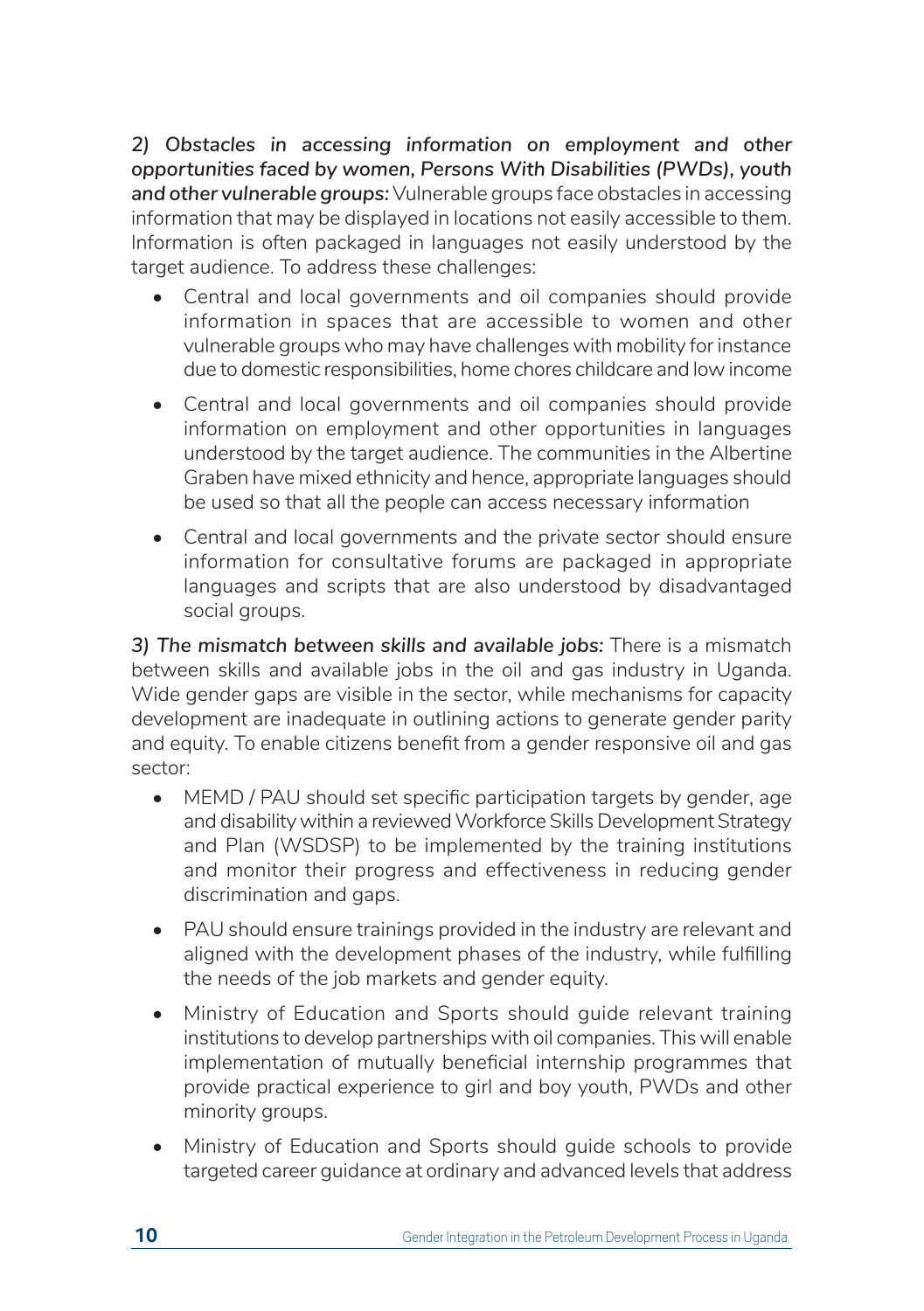*2) Obstacles in accessing information on employment and other opportunities faced by women, Persons With Disabilities (PWDs), youth and other vulnerable groups:* Vulnerable groups face obstacles in accessing information that may be displayed in locations not easily accessible to them. Information is often packaged in languages not easily understood by the target audience. To address these challenges:

- Central and local governments and oil companies should provide information in spaces that are accessible to women and other vulnerable groups who may have challenges with mobility for instance due to domestic responsibilities, home chores childcare and low income
- Central and local governments and oil companies should provide information on employment and other opportunities in languages understood by the target audience. The communities in the Albertine Graben have mixed ethnicity and hence, appropriate languages should be used so that all the people can access necessary information
- Central and local governments and the private sector should ensure information for consultative forums are packaged in appropriate languages and scripts that are also understood by disadvantaged social groups.

*3) The mismatch between skills and available jobs:* There is a mismatch between skills and available jobs in the oil and gas industry in Uganda. Wide gender gaps are visible in the sector, while mechanisms for capacity development are inadequate in outlining actions to generate gender parity and equity. To enable citizens benefit from a gender responsive oil and gas sector:

- MEMD / PAU should set specific participation targets by gender, age and disability within a reviewed Workforce Skills Development Strategy and Plan (WSDSP) to be implemented by the training institutions and monitor their progress and effectiveness in reducing gender discrimination and gaps.
- PAU should ensure trainings provided in the industry are relevant and aligned with the development phases of the industry, while fulfilling the needs of the job markets and gender equity.
- Ministry of Education and Sports should guide relevant training institutions to develop partnerships with oil companies. This will enable implementation of mutually beneficial internship programmes that provide practical experience to girl and boy youth, PWDs and other minority groups.
- Ministry of Education and Sports should guide schools to provide targeted career guidance at ordinary and advanced levels that address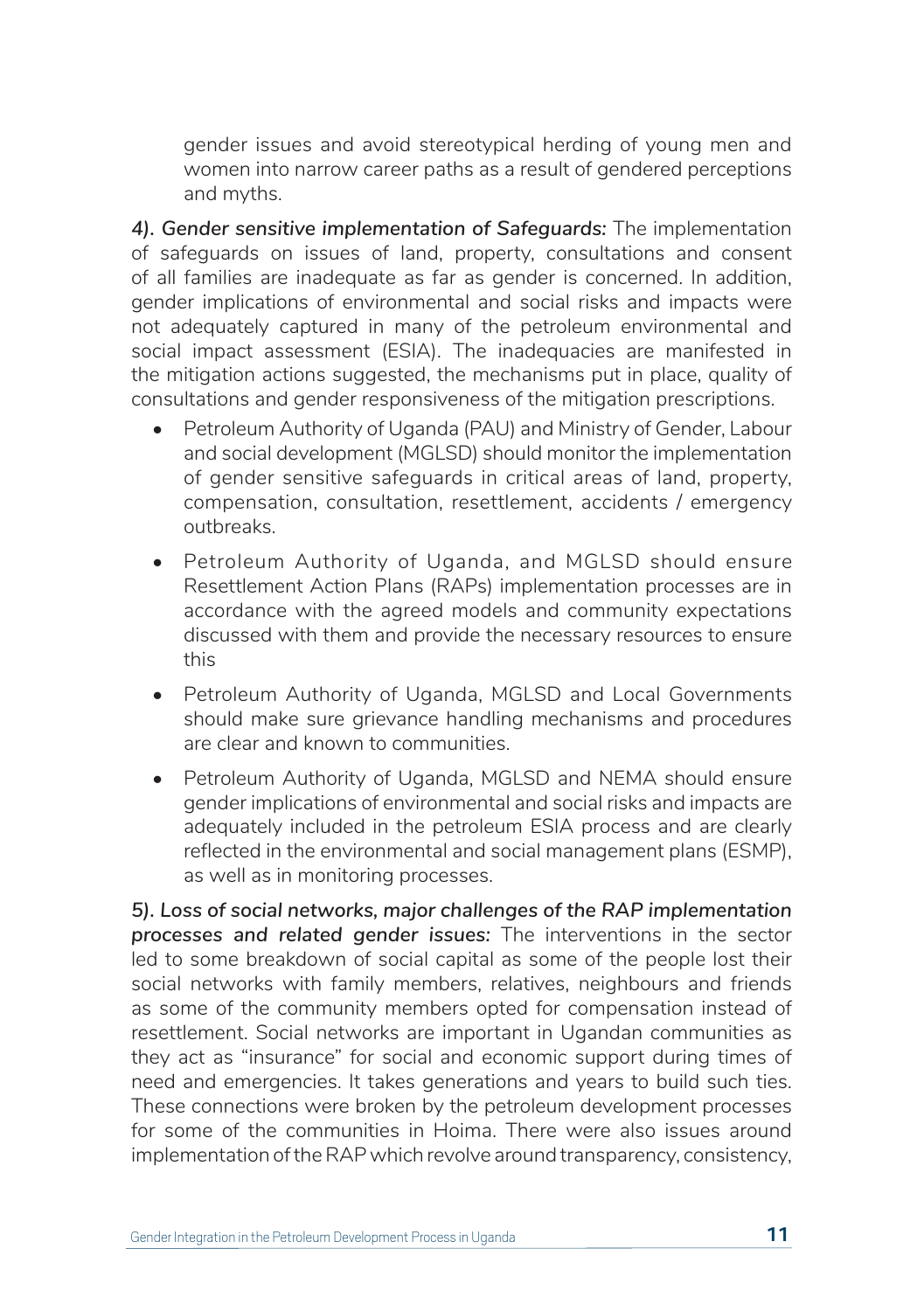gender issues and avoid stereotypical herding of young men and women into narrow career paths as a result of gendered perceptions and myths.

*4). Gender sensitive implementation of Safeguards:* The implementation of safeguards on issues of land, property, consultations and consent of all families are inadequate as far as gender is concerned. In addition, gender implications of environmental and social risks and impacts were not adequately captured in many of the petroleum environmental and social impact assessment (ESIA). The inadequacies are manifested in the mitigation actions suggested, the mechanisms put in place, quality of consultations and gender responsiveness of the mitigation prescriptions.

- Petroleum Authority of Uganda (PAU) and Ministry of Gender, Labour and social development (MGLSD) should monitor the implementation of gender sensitive safeguards in critical areas of land, property, compensation, consultation, resettlement, accidents / emergency outbreaks.
- Petroleum Authority of Uganda, and MGLSD should ensure Resettlement Action Plans (RAPs) implementation processes are in accordance with the agreed models and community expectations discussed with them and provide the necessary resources to ensure this
- Petroleum Authority of Uganda, MGLSD and Local Governments should make sure grievance handling mechanisms and procedures are clear and known to communities.
- Petroleum Authority of Uganda, MGLSD and NEMA should ensure gender implications of environmental and social risks and impacts are adequately included in the petroleum ESIA process and are clearly reflected in the environmental and social management plans (ESMP), as well as in monitoring processes.

*5). Loss of social networks, major challenges of the RAP implementation processes and related gender issues:* The interventions in the sector led to some breakdown of social capital as some of the people lost their social networks with family members, relatives, neighbours and friends as some of the community members opted for compensation instead of resettlement. Social networks are important in Ugandan communities as they act as "insurance" for social and economic support during times of need and emergencies. It takes generations and years to build such ties. These connections were broken by the petroleum development processes for some of the communities in Hoima. There were also issues around implementation of the RAP which revolve around transparency, consistency,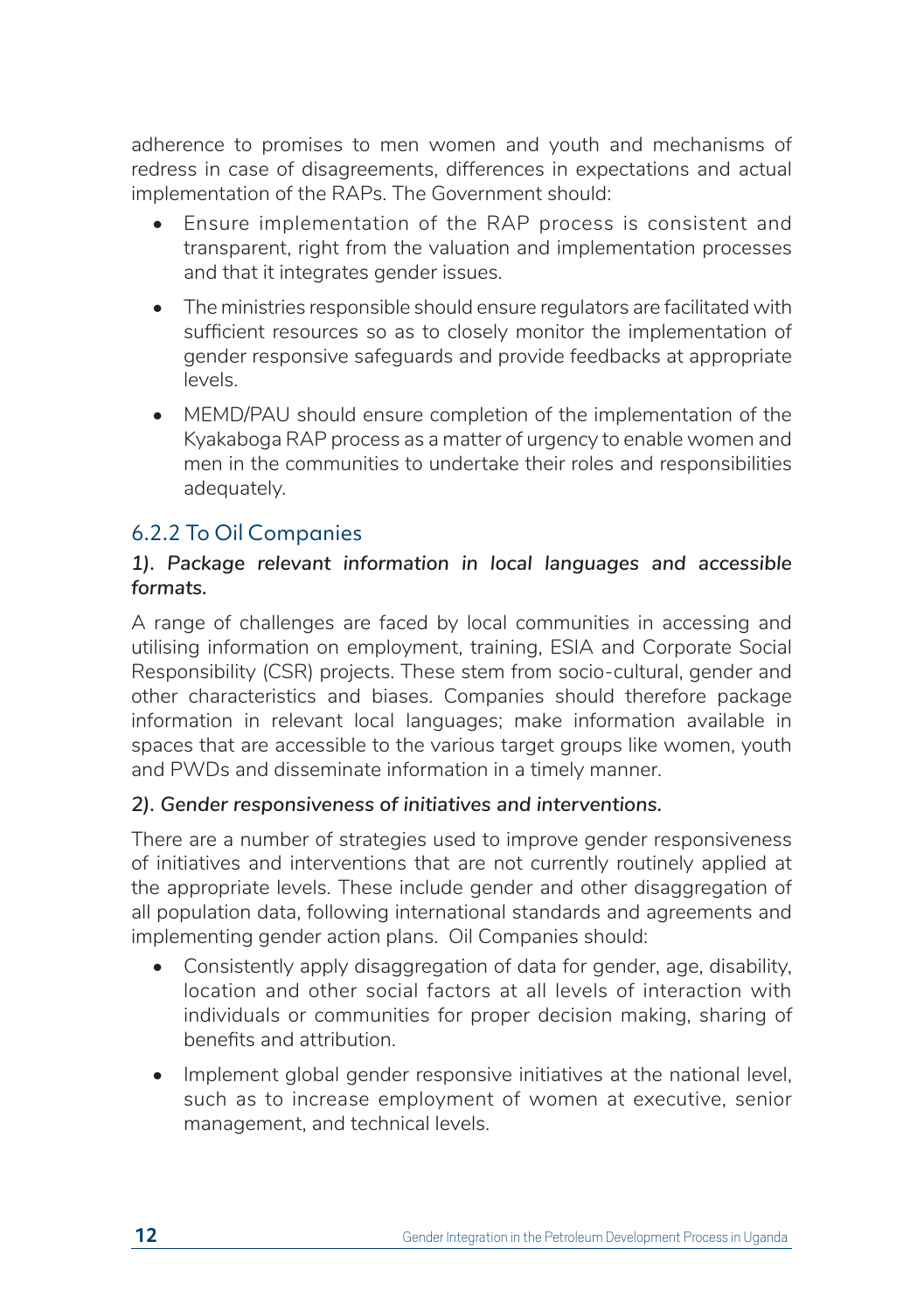adherence to promises to men women and youth and mechanisms of redress in case of disagreements, differences in expectations and actual implementation of the RAPs. The Government should:

- Ensure implementation of the RAP process is consistent and transparent, right from the valuation and implementation processes and that it integrates gender issues.
- The ministries responsible should ensure regulators are facilitated with sufficient resources so as to closely monitor the implementation of gender responsive safeguards and provide feedbacks at appropriate levels.
- MEMD/PAU should ensure completion of the implementation of the Kyakaboga RAP process as a matter of urgency to enable women and men in the communities to undertake their roles and responsibilities adequately.

#### 6.2.2 To Oil Companies

#### *1). Package relevant information in local languages and accessible formats.*

A range of challenges are faced by local communities in accessing and utilising information on employment, training, ESIA and Corporate Social Responsibility (CSR) projects. These stem from socio-cultural, gender and other characteristics and biases. Companies should therefore package information in relevant local languages; make information available in spaces that are accessible to the various target groups like women, youth and PWDs and disseminate information in a timely manner.

#### *2). Gender responsiveness of initiatives and interventions.*

There are a number of strategies used to improve gender responsiveness of initiatives and interventions that are not currently routinely applied at the appropriate levels. These include gender and other disaggregation of all population data, following international standards and agreements and implementing gender action plans. Oil Companies should:

- Consistently apply disaggregation of data for gender, age, disability, location and other social factors at all levels of interaction with individuals or communities for proper decision making, sharing of benefits and attribution.
- Implement global gender responsive initiatives at the national level, such as to increase employment of women at executive, senior management, and technical levels.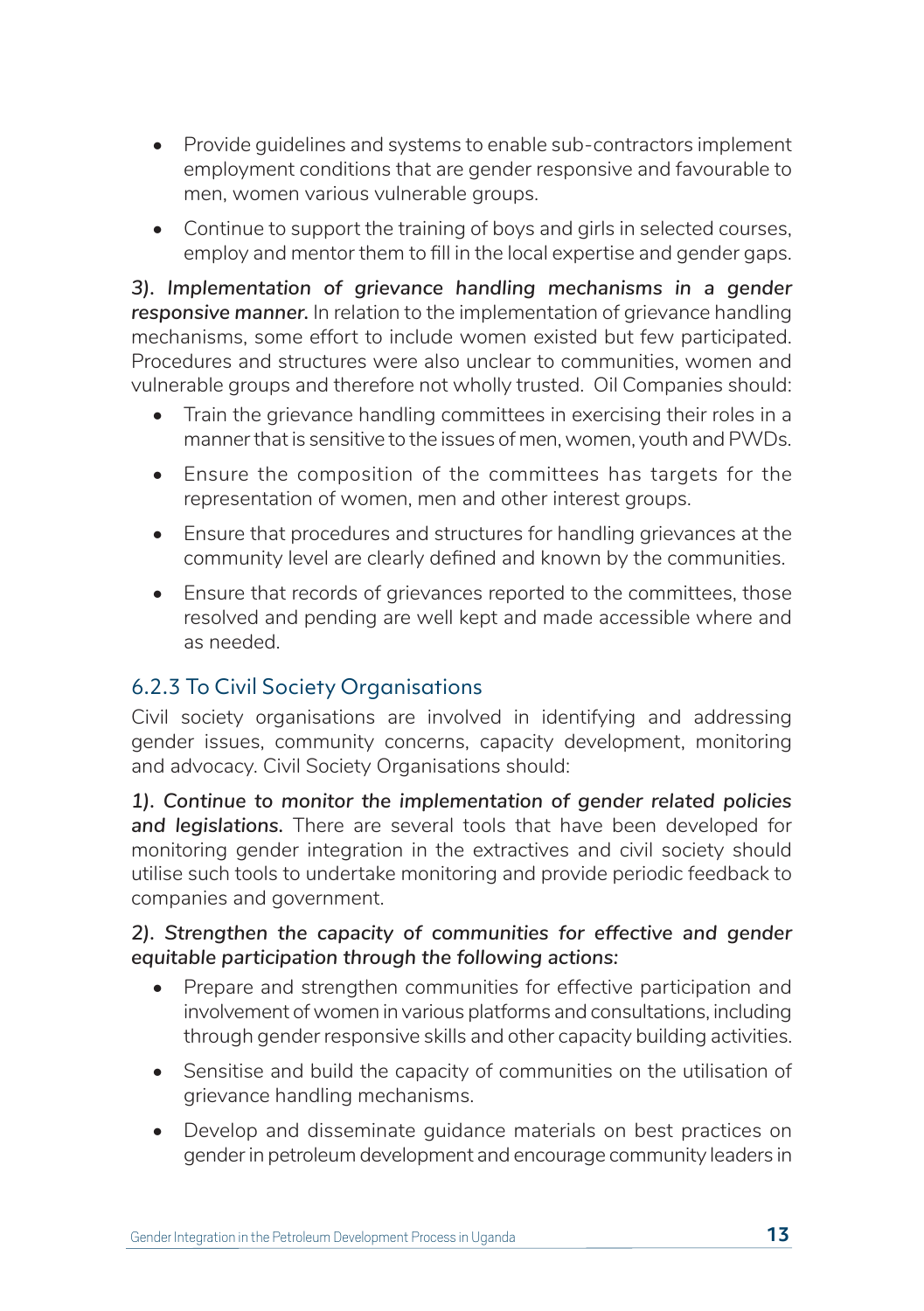- Provide guidelines and systems to enable sub-contractors implement employment conditions that are gender responsive and favourable to men, women various vulnerable groups.
- Continue to support the training of boys and girls in selected courses, employ and mentor them to fill in the local expertise and gender gaps.

*3). Implementation of grievance handling mechanisms in a gender responsive manner.* In relation to the implementation of grievance handling mechanisms, some effort to include women existed but few participated. Procedures and structures were also unclear to communities, women and vulnerable groups and therefore not wholly trusted. Oil Companies should:

- Train the grievance handling committees in exercising their roles in a manner that is sensitive to the issues of men, women, youth and PWDs.
- Ensure the composition of the committees has targets for the representation of women, men and other interest groups.
- Ensure that procedures and structures for handling grievances at the community level are clearly defined and known by the communities.
- Ensure that records of grievances reported to the committees, those resolved and pending are well kept and made accessible where and as needed.

### 6.2.3 To Civil Society Organisations

Civil society organisations are involved in identifying and addressing gender issues, community concerns, capacity development, monitoring and advocacy. Civil Society Organisations should:

*1). Continue to monitor the implementation of gender related policies and legislations.* There are several tools that have been developed for monitoring gender integration in the extractives and civil society should utilise such tools to undertake monitoring and provide periodic feedback to companies and government.

#### *2). Strengthen the capacity of communities for effective and gender equitable participation through the following actions:*

- Prepare and strengthen communities for effective participation and involvement of women in various platforms and consultations, including through gender responsive skills and other capacity building activities.
- Sensitise and build the capacity of communities on the utilisation of grievance handling mechanisms.
- Develop and disseminate guidance materials on best practices on gender in petroleum development and encourage community leaders in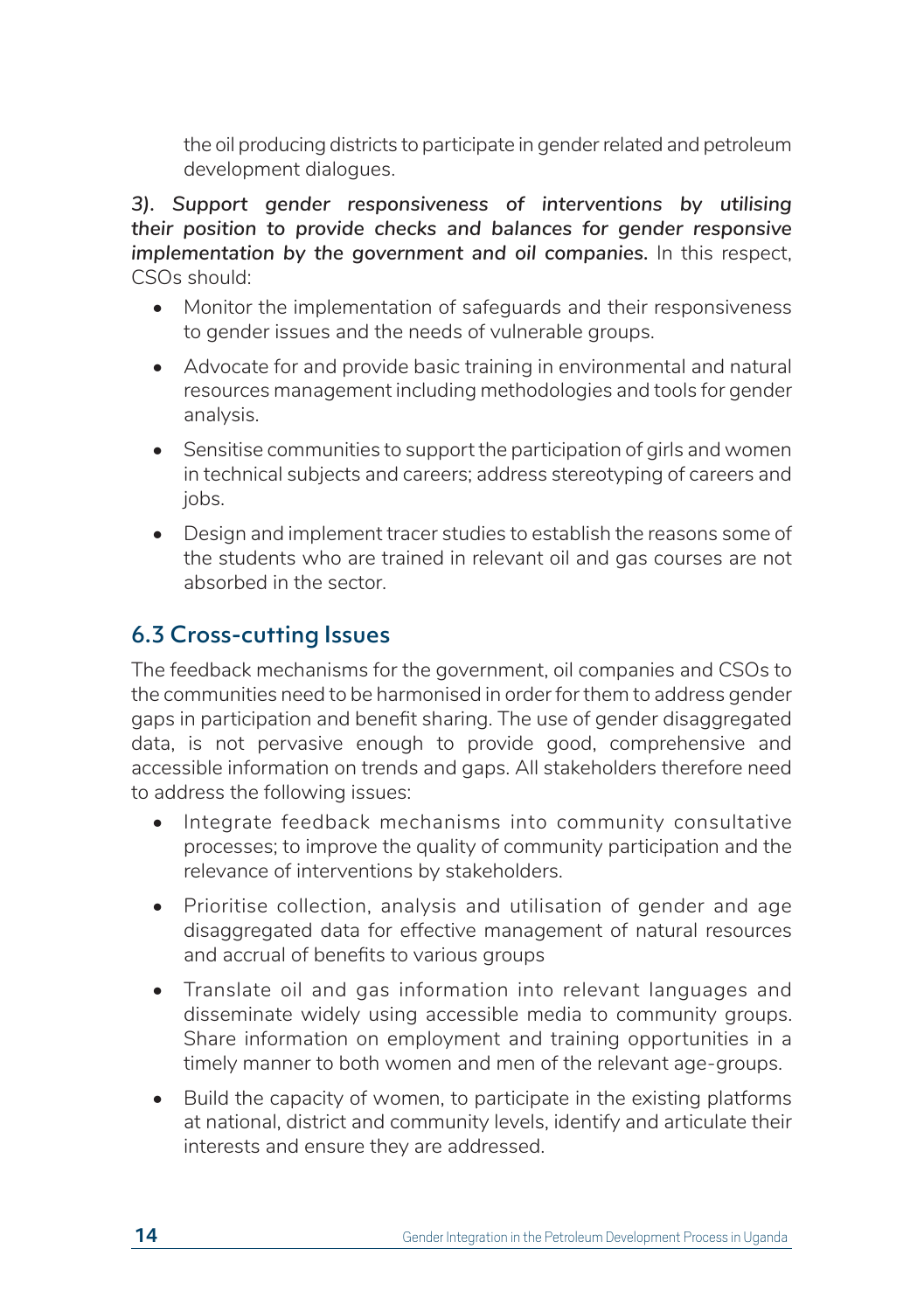the oil producing districts to participate in gender related and petroleum development dialogues.

*3). Support gender responsiveness of interventions by utilising their position to provide checks and balances for gender responsive implementation by the government and oil companies.* In this respect, CSOs should:

- Monitor the implementation of safeguards and their responsiveness to gender issues and the needs of vulnerable groups.
- Advocate for and provide basic training in environmental and natural resources management including methodologies and tools for gender analysis.
- Sensitise communities to support the participation of girls and women in technical subjects and careers; address stereotyping of careers and jobs.
- Design and implement tracer studies to establish the reasons some of the students who are trained in relevant oil and gas courses are not absorbed in the sector.

### 6.3 Cross-cutting Issues

The feedback mechanisms for the government, oil companies and CSOs to the communities need to be harmonised in order for them to address gender gaps in participation and benefit sharing. The use of gender disaggregated data, is not pervasive enough to provide good, comprehensive and accessible information on trends and gaps. All stakeholders therefore need to address the following issues:

- Integrate feedback mechanisms into community consultative processes; to improve the quality of community participation and the relevance of interventions by stakeholders.
- Prioritise collection, analysis and utilisation of gender and age disaggregated data for effective management of natural resources and accrual of benefits to various groups
- Translate oil and gas information into relevant languages and disseminate widely using accessible media to community groups. Share information on employment and training opportunities in a timely manner to both women and men of the relevant age-groups.
- Build the capacity of women, to participate in the existing platforms at national, district and community levels, identify and articulate their interests and ensure they are addressed.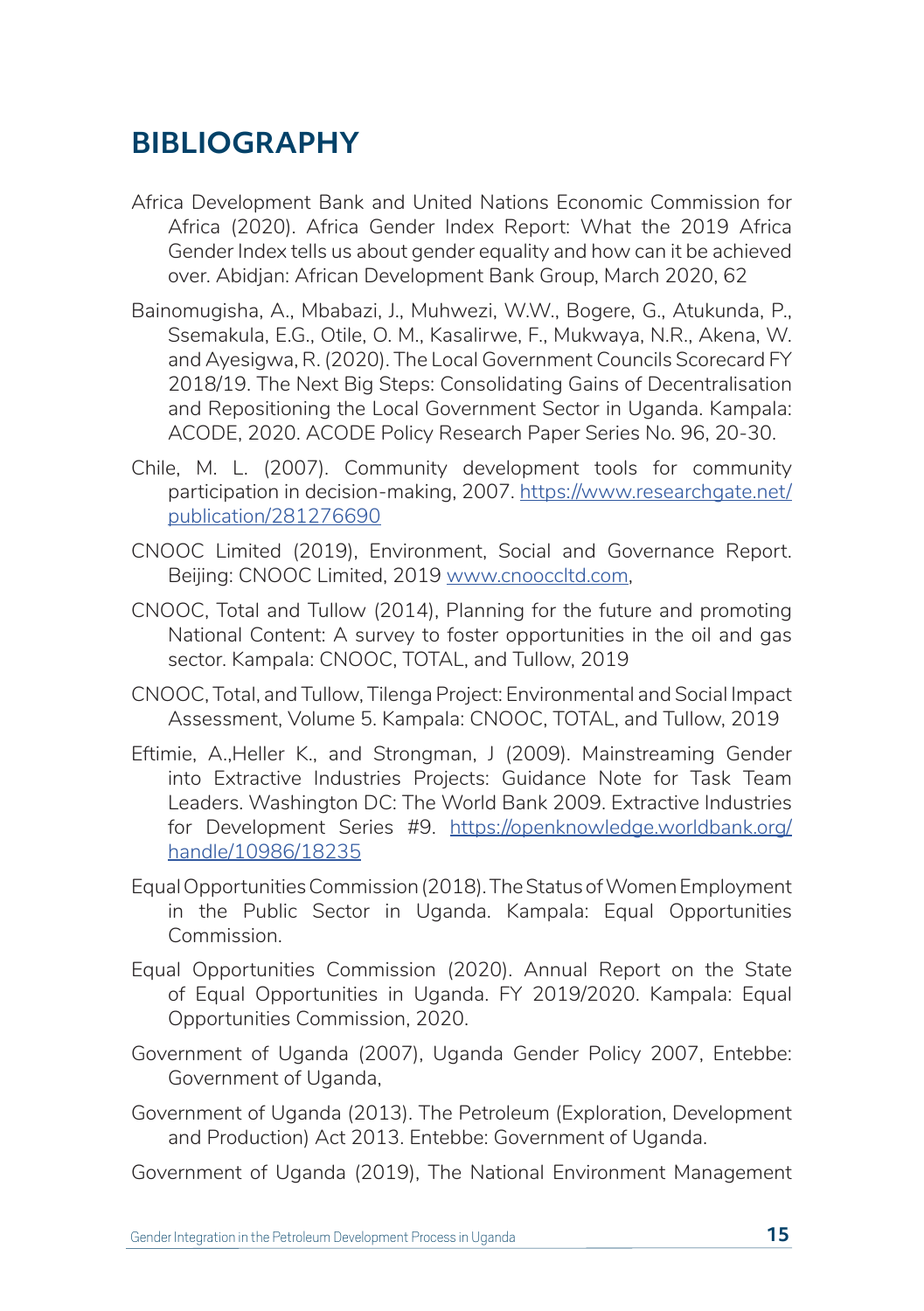# **BIBLIOGRAPHY**

- Africa Development Bank and United Nations Economic Commission for Africa (2020). Africa Gender Index Report: What the 2019 Africa Gender Index tells us about gender equality and how can it be achieved over. Abidjan: African Development Bank Group, March 2020, 62
- Bainomugisha, A., Mbabazi, J., Muhwezi, W.W., Bogere, G., Atukunda, P., Ssemakula, E.G., Otile, O. M., Kasalirwe, F., Mukwaya, N.R., Akena, W. and Ayesigwa, R. (2020). The Local Government Councils Scorecard FY 2018/19. The Next Big Steps: Consolidating Gains of Decentralisation and Repositioning the Local Government Sector in Uganda. Kampala: ACODE, 2020. ACODE Policy Research Paper Series No. 96, 20-30.
- Chile, M. L. (2007). Community development tools for community participation in decision-making, 2007. https://www.researchgate.net/ publication/281276690
- CNOOC Limited (2019), Environment, Social and Governance Report. Beijing: CNOOC Limited, 2019 www.cnooccltd.com,
- CNOOC, Total and Tullow (2014), Planning for the future and promoting National Content: A survey to foster opportunities in the oil and gas sector. Kampala: CNOOC, TOTAL, and Tullow, 2019
- CNOOC, Total, and Tullow, Tilenga Project: Environmental and Social Impact Assessment, Volume 5. Kampala: CNOOC, TOTAL, and Tullow, 2019
- Eftimie, A.,Heller K., and Strongman, J (2009). Mainstreaming Gender into Extractive Industries Projects: Guidance Note for Task Team Leaders. Washington DC: The World Bank 2009. Extractive Industries for Development Series #9. https://openknowledge.worldbank.org/ handle/10986/18235
- Equal Opportunities Commission (2018). The Status of Women Employment in the Public Sector in Uganda. Kampala: Equal Opportunities Commission.
- Equal Opportunities Commission (2020). Annual Report on the State of Equal Opportunities in Uganda. FY 2019/2020. Kampala: Equal Opportunities Commission, 2020.
- Government of Uganda (2007), Uganda Gender Policy 2007, Entebbe: Government of Uganda,
- Government of Uganda (2013). The Petroleum (Exploration, Development and Production) Act 2013. Entebbe: Government of Uganda.
- Government of Uganda (2019), The National Environment Management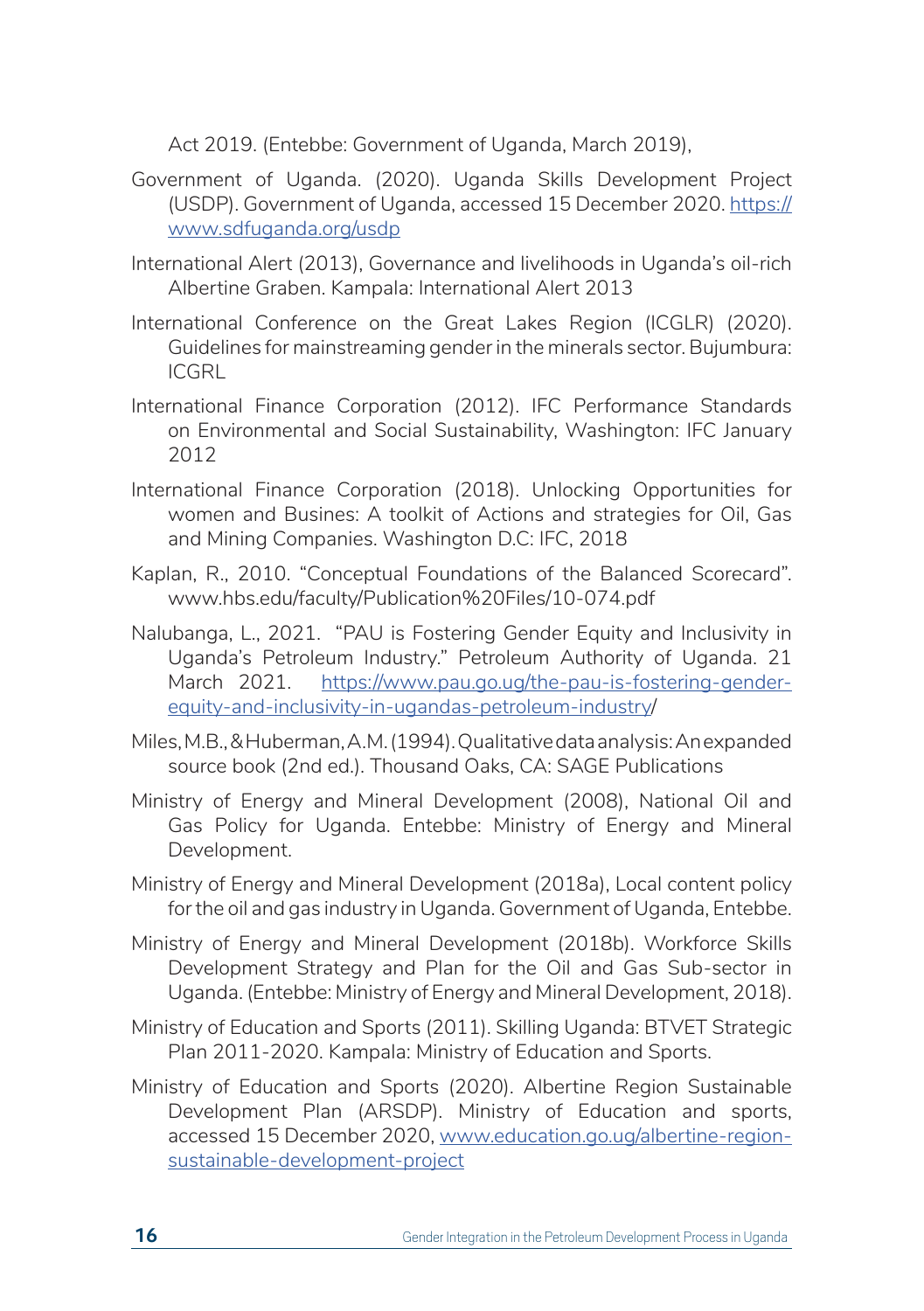Act 2019. (Entebbe: Government of Uganda, March 2019),

- Government of Uganda. (2020). Uganda Skills Development Project (USDP). Government of Uganda, accessed 15 December 2020. https:// www.sdfuganda.org/usdp
- International Alert (2013), Governance and livelihoods in Uganda's oil-rich Albertine Graben. Kampala: International Alert 2013
- International Conference on the Great Lakes Region (ICGLR) (2020). Guidelines for mainstreaming gender in the minerals sector. Bujumbura: ICGRL
- International Finance Corporation (2012). IFC Performance Standards on Environmental and Social Sustainability, Washington: IFC January 2012
- International Finance Corporation (2018). Unlocking Opportunities for women and Busines: A toolkit of Actions and strategies for Oil, Gas and Mining Companies. Washington D.C: IFC, 2018
- Kaplan, R., 2010. "Conceptual Foundations of the Balanced Scorecard". www.hbs.edu/faculty/Publication%20Files/10-074.pdf
- Nalubanga, L., 2021. "PAU is Fostering Gender Equity and Inclusivity in Uganda's Petroleum Industry." Petroleum Authority of Uganda. 21 March 2021. https://www.pau.go.ug/the-pau-is-fostering-genderequity-and-inclusivity-in-ugandas-petroleum-industry/
- Miles, M.B., & Huberman, A.M. (1994). Qualitative data analysis: An expanded source book (2nd ed.). Thousand Oaks, CA: SAGE Publications
- Ministry of Energy and Mineral Development (2008), National Oil and Gas Policy for Uganda. Entebbe: Ministry of Energy and Mineral Development.
- Ministry of Energy and Mineral Development (2018a), Local content policy for the oil and gas industry in Uganda. Government of Uganda, Entebbe.
- Ministry of Energy and Mineral Development (2018b). Workforce Skills Development Strategy and Plan for the Oil and Gas Sub-sector in Uganda. (Entebbe: Ministry of Energy and Mineral Development, 2018).
- Ministry of Education and Sports (2011). Skilling Uganda: BTVET Strategic Plan 2011-2020. Kampala: Ministry of Education and Sports.
- Ministry of Education and Sports (2020). Albertine Region Sustainable Development Plan (ARSDP). Ministry of Education and sports, accessed 15 December 2020, www.education.go.ug/albertine-regionsustainable-development-project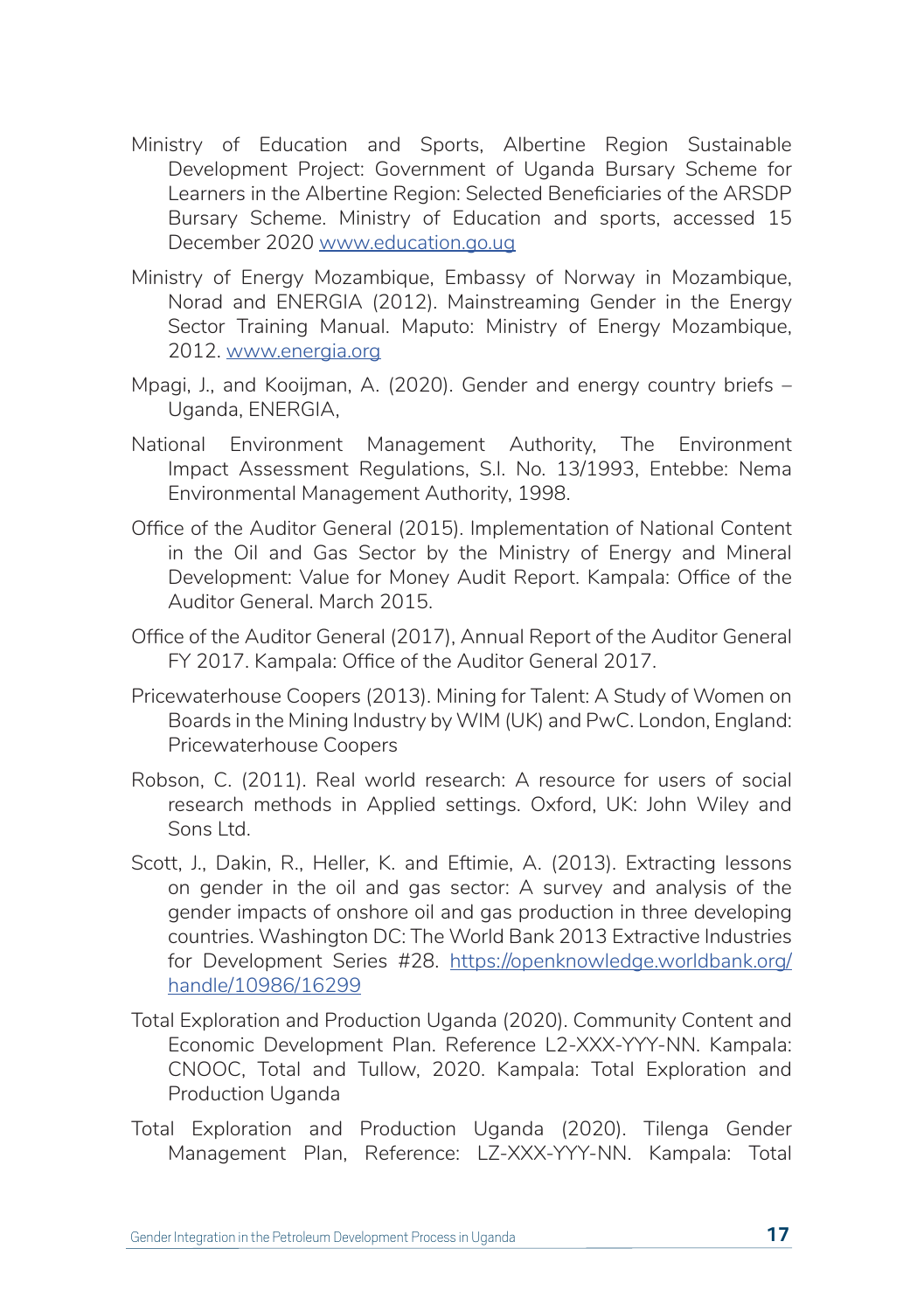- Ministry of Education and Sports, Albertine Region Sustainable Development Project: Government of Uganda Bursary Scheme for Learners in the Albertine Region: Selected Beneficiaries of the ARSDP Bursary Scheme. Ministry of Education and sports, accessed 15 December 2020 www.education.go.ug
- Ministry of Energy Mozambique, Embassy of Norway in Mozambique, Norad and ENERGIA (2012). Mainstreaming Gender in the Energy Sector Training Manual. Maputo: Ministry of Energy Mozambique, 2012. www.energia.org
- Mpagi, J., and Kooijman, A. (2020). Gender and energy country briefs Uganda, ENERGIA,
- National Environment Management Authority, The Environment Impact Assessment Regulations, S.I. No. 13/1993, Entebbe: Nema Environmental Management Authority, 1998.
- Office of the Auditor General (2015). Implementation of National Content in the Oil and Gas Sector by the Ministry of Energy and Mineral Development: Value for Money Audit Report. Kampala: Office of the Auditor General. March 2015.
- Office of the Auditor General (2017), Annual Report of the Auditor General FY 2017. Kampala: Office of the Auditor General 2017.
- Pricewaterhouse Coopers (2013). Mining for Talent: A Study of Women on Boards in the Mining Industry by WIM (UK) and PwC. London, England: Pricewaterhouse Coopers
- Robson, C. (2011). Real world research: A resource for users of social research methods in Applied settings. Oxford, UK: John Wiley and Sons Ltd.
- Scott, J., Dakin, R., Heller, K. and Eftimie, A. (2013). Extracting lessons on gender in the oil and gas sector: A survey and analysis of the gender impacts of onshore oil and gas production in three developing countries. Washington DC: The World Bank 2013 Extractive Industries for Development Series #28. https://openknowledge.worldbank.org/ handle/10986/16299
- Total Exploration and Production Uganda (2020). Community Content and Economic Development Plan. Reference L2-XXX-YYY-NN. Kampala: CNOOC, Total and Tullow, 2020. Kampala: Total Exploration and Production Uganda
- Total Exploration and Production Uganda (2020). Tilenga Gender Management Plan, Reference: LZ-XXX-YYY-NN. Kampala: Total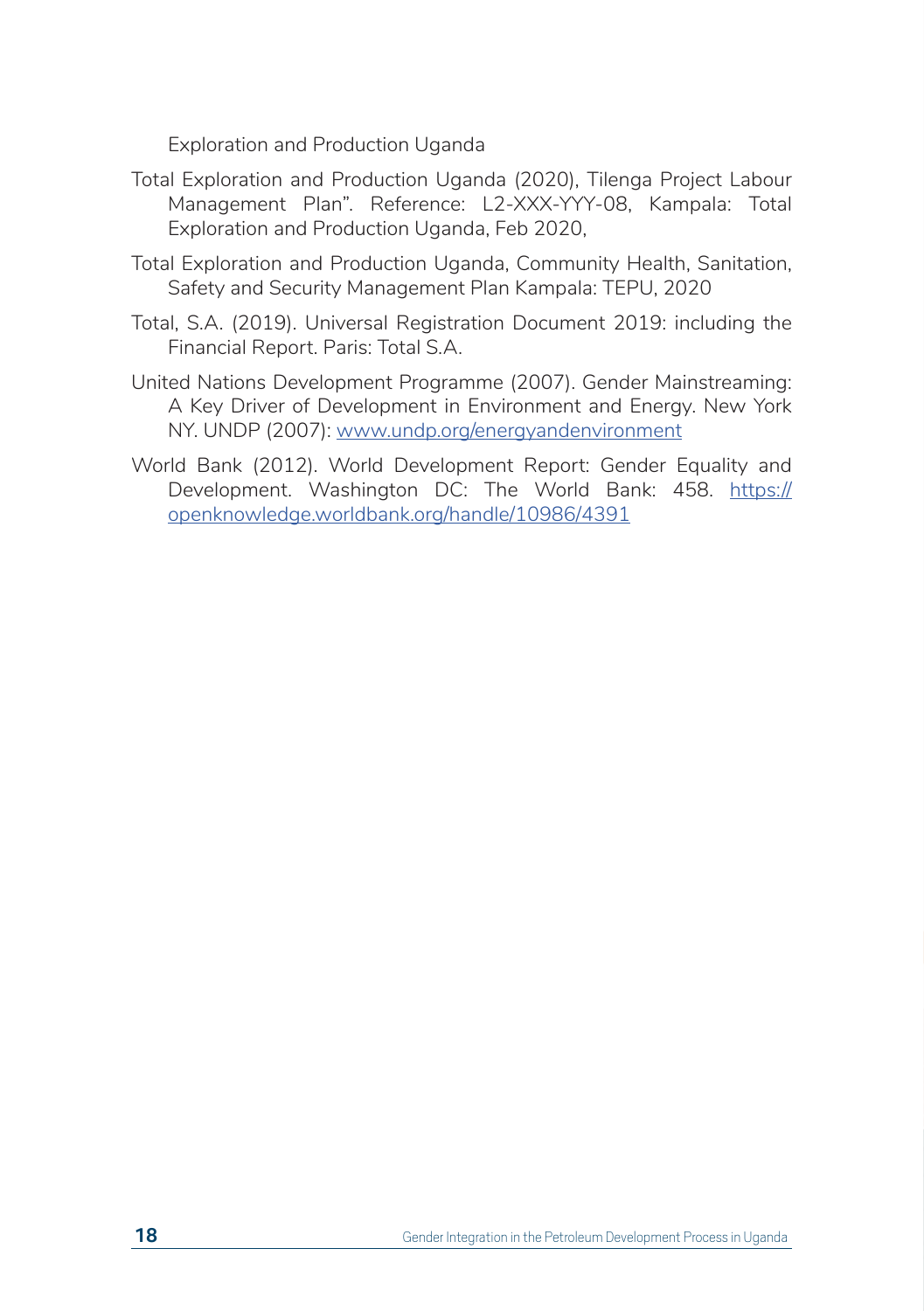Exploration and Production Uganda

- Total Exploration and Production Uganda (2020), Tilenga Project Labour Management Plan". Reference: L2-XXX-YYY-08, Kampala: Total Exploration and Production Uganda, Feb 2020,
- Total Exploration and Production Uganda, Community Health, Sanitation, Safety and Security Management Plan Kampala: TEPU, 2020
- Total, S.A. (2019). Universal Registration Document 2019: including the Financial Report. Paris: Total S.A.
- United Nations Development Programme (2007). Gender Mainstreaming: A Key Driver of Development in Environment and Energy. New York NY. UNDP (2007): www.undp.org/energyandenvironment
- World Bank (2012). World Development Report: Gender Equality and Development. Washington DC: The World Bank: 458. https:// openknowledge.worldbank.org/handle/10986/4391